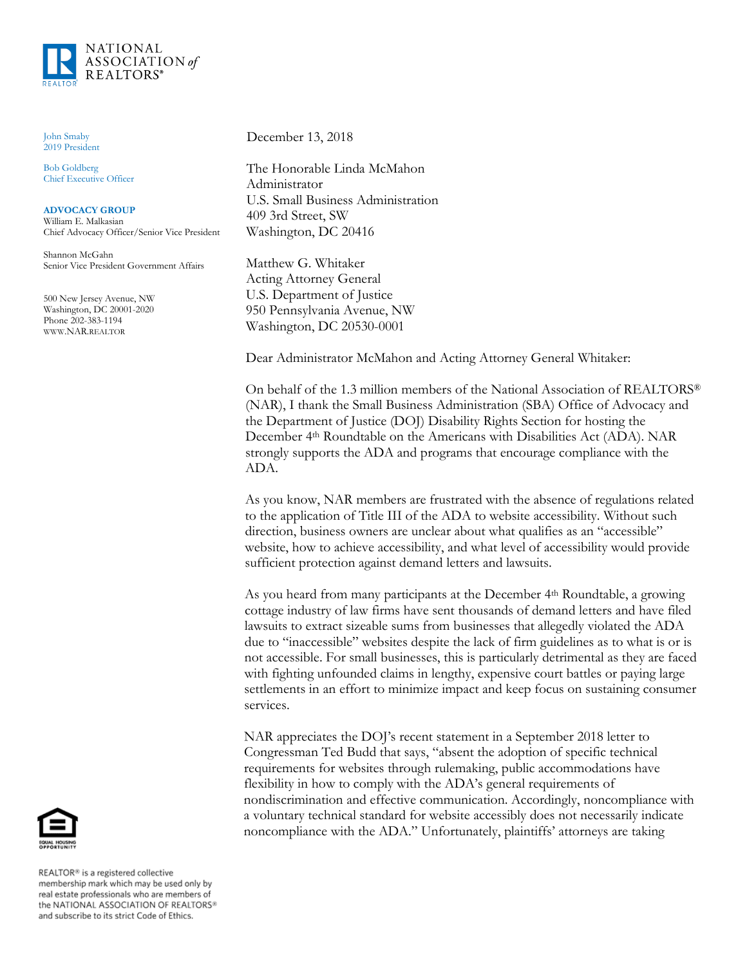

John Smaby 2019 President

Bob Goldberg Chief Executive Officer

**ADVOCACY GROUP** William E. Malkasian Chief Advocacy Officer/Senior Vice President

Shannon McGahn Senior Vice President Government Affairs

500 New Jersey Avenue, NW Washington, DC 20001-2020 Phone 202-383-1194 WWW.NAR.REALTOR

December 13, 2018

The Honorable Linda McMahon Administrator U.S. Small Business Administration 409 3rd Street, SW Washington, DC 20416

Matthew G. Whitaker Acting Attorney General U.S. Department of Justice 950 Pennsylvania Avenue, NW Washington, DC 20530-0001

Dear Administrator McMahon and Acting Attorney General Whitaker:

On behalf of the 1.3 million members of the National Association of REALTORS® (NAR), I thank the Small Business Administration (SBA) Office of Advocacy and the Department of Justice (DOJ) Disability Rights Section for hosting the December 4th Roundtable on the Americans with Disabilities Act (ADA). NAR strongly supports the ADA and programs that encourage compliance with the ADA.

As you know, NAR members are frustrated with the absence of regulations related to the application of Title III of the ADA to website accessibility. Without such direction, business owners are unclear about what qualifies as an "accessible" website, how to achieve accessibility, and what level of accessibility would provide sufficient protection against demand letters and lawsuits.

As you heard from many participants at the December 4<sup>th</sup> Roundtable, a growing cottage industry of law firms have sent thousands of demand letters and have filed lawsuits to extract sizeable sums from businesses that allegedly violated the ADA due to "inaccessible" websites despite the lack of firm guidelines as to what is or is not accessible. For small businesses, this is particularly detrimental as they are faced with fighting unfounded claims in lengthy, expensive court battles or paying large settlements in an effort to minimize impact and keep focus on sustaining consumer services.

NAR appreciates the DOJ's recent statement in a September 2018 letter to Congressman Ted Budd that says, "absent the adoption of specific technical requirements for websites through rulemaking, public accommodations have flexibility in how to comply with the ADA's general requirements of nondiscrimination and effective communication. Accordingly, noncompliance with a voluntary technical standard for website accessibly does not necessarily indicate noncompliance with the ADA." Unfortunately, plaintiffs' attorneys are taking



REALTOR® is a registered collective membership mark which may be used only by real estate professionals who are members of<br>the NATIONAL ASSOCIATION OF REALTORS® and subscribe to its strict Code of Ethics.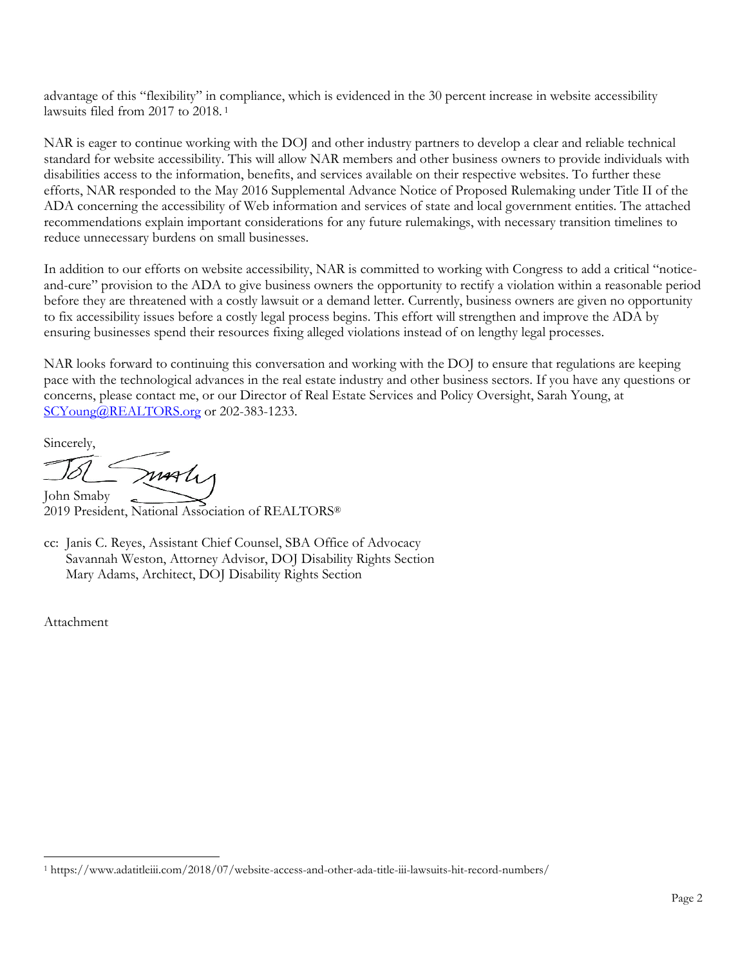advantage of this "flexibility" in compliance, which is evidenced in the 30 percent increase in website accessibility lawsuits filed from 2017 to 2018. <sup>1</sup>

NAR is eager to continue working with the DOJ and other industry partners to develop a clear and reliable technical standard for website accessibility. This will allow NAR members and other business owners to provide individuals with disabilities access to the information, benefits, and services available on their respective websites. To further these efforts, NAR responded to the May 2016 Supplemental Advance Notice of Proposed Rulemaking under Title II of the ADA concerning the accessibility of Web information and services of state and local government entities. The attached recommendations explain important considerations for any future rulemakings, with necessary transition timelines to reduce unnecessary burdens on small businesses.

In addition to our efforts on website accessibility, NAR is committed to working with Congress to add a critical "noticeand-cure" provision to the ADA to give business owners the opportunity to rectify a violation within a reasonable period before they are threatened with a costly lawsuit or a demand letter. Currently, business owners are given no opportunity to fix accessibility issues before a costly legal process begins. This effort will strengthen and improve the ADA by ensuring businesses spend their resources fixing alleged violations instead of on lengthy legal processes.

NAR looks forward to continuing this conversation and working with the DOJ to ensure that regulations are keeping pace with the technological advances in the real estate industry and other business sectors. If you have any questions or concerns, please contact me, or our Director of Real Estate Services and Policy Oversight, Sarah Young, at [SCYoung@REALTORS.org](mailto:SCYoung@REALTORS.org) or 202-383-1233.

Sincerely,

marti John Smaby

2019 President, National Association of REALTORS®

cc: Janis C. Reyes, Assistant Chief Counsel, SBA Office of Advocacy Savannah Weston, Attorney Advisor, DOJ Disability Rights Section Mary Adams, Architect, DOJ Disability Rights Section

Attachment

<sup>1</sup> https://www.adatitleiii.com/2018/07/website-access-and-other-ada-title-iii-lawsuits-hit-record-numbers/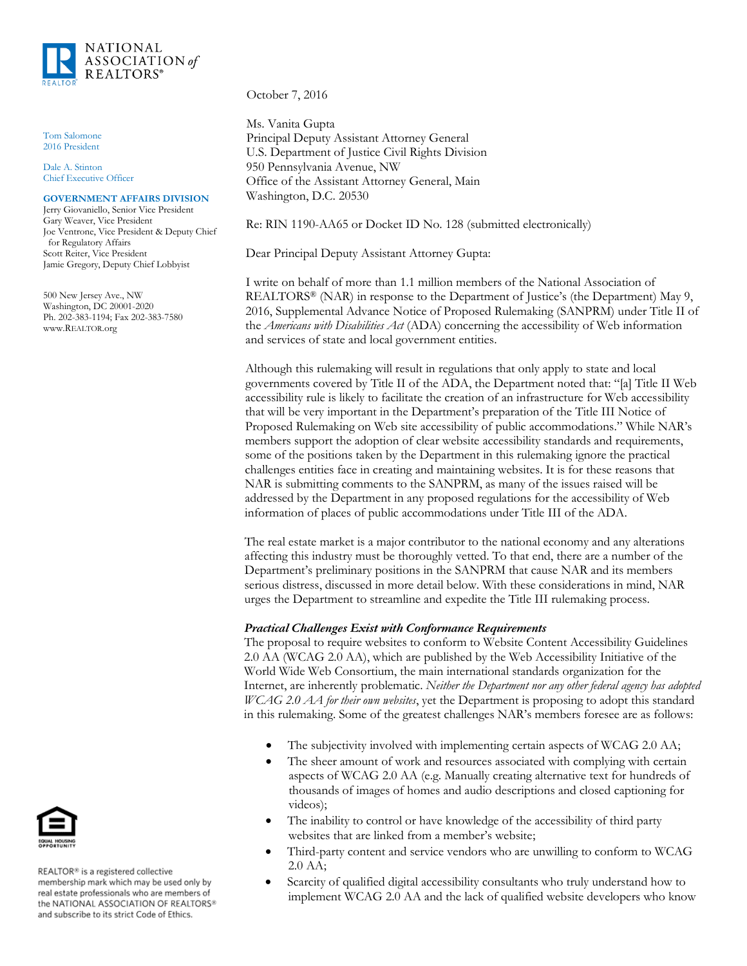

Tom Salomone 2016 President

Dale A. Stinton Chief Executive Officer

#### **GOVERNMENT AFFAIRS DIVISION**

Jerry Giovaniello, Senior Vice President Gary Weaver, Vice President Joe Ventrone, Vice President & Deputy Chief for Regulatory Affairs Scott Reiter, Vice President Jamie Gregory, Deputy Chief Lobbyist

500 New Jersey Ave., NW Washington, DC 20001-2020 Ph. 202-383-1194; Fax 202-383-7580 www.REALTOR.org

October 7, 2016

Ms. Vanita Gupta Principal Deputy Assistant Attorney General U.S. Department of Justice Civil Rights Division 950 Pennsylvania Avenue, NW Office of the Assistant Attorney General, Main Washington, D.C. 20530

Re: RIN 1190-AA65 or Docket ID No. 128 (submitted electronically)

Dear Principal Deputy Assistant Attorney Gupta:

I write on behalf of more than 1.1 million members of the National Association of REALTORS® (NAR) in response to the Department of Justice's (the Department) May 9, 2016, Supplemental Advance Notice of Proposed Rulemaking (SANPRM) under Title II of the *Americans with Disabilities Act* (ADA) concerning the accessibility of Web information and services of state and local government entities.

Although this rulemaking will result in regulations that only apply to state and local governments covered by Title II of the ADA, the Department noted that: "[a] Title II Web accessibility rule is likely to facilitate the creation of an infrastructure for Web accessibility that will be very important in the Department's preparation of the Title III Notice of Proposed Rulemaking on Web site accessibility of public accommodations." While NAR's members support the adoption of clear website accessibility standards and requirements, some of the positions taken by the Department in this rulemaking ignore the practical challenges entities face in creating and maintaining websites. It is for these reasons that NAR is submitting comments to the SANPRM, as many of the issues raised will be addressed by the Department in any proposed regulations for the accessibility of Web information of places of public accommodations under Title III of the ADA.

The real estate market is a major contributor to the national economy and any alterations affecting this industry must be thoroughly vetted. To that end, there are a number of the Department's preliminary positions in the SANPRM that cause NAR and its members serious distress, discussed in more detail below. With these considerations in mind, NAR urges the Department to streamline and expedite the Title III rulemaking process.

#### *Practical Challenges Exist with Conformance Requirements*

The proposal to require websites to conform to Website Content Accessibility Guidelines 2.0 AA (WCAG 2.0 AA), which are published by the Web Accessibility Initiative of the World Wide Web Consortium, the main international standards organization for the Internet, are inherently problematic. *Neither the Department nor any other federal agency has adopted WCAG 2.0 AA for their own websites*, yet the Department is proposing to adopt this standard in this rulemaking. Some of the greatest challenges NAR's members foresee are as follows:

- The subjectivity involved with implementing certain aspects of WCAG 2.0 AA;
- The sheer amount of work and resources associated with complying with certain aspects of WCAG 2.0 AA (e.g. Manually creating alternative text for hundreds of thousands of images of homes and audio descriptions and closed captioning for videos);
- The inability to control or have knowledge of the accessibility of third party websites that are linked from a member's website;
- Third-party content and service vendors who are unwilling to conform to WCAG 2.0 AA;
- Scarcity of qualified digital accessibility consultants who truly understand how to implement WCAG 2.0 AA and the lack of qualified website developers who know



REALTOR® is a registered collective membership mark which may be used only by real estate professionals who are members of the NATIONAL ASSOCIATION OF REALTORS® and subscribe to its strict Code of Ethics.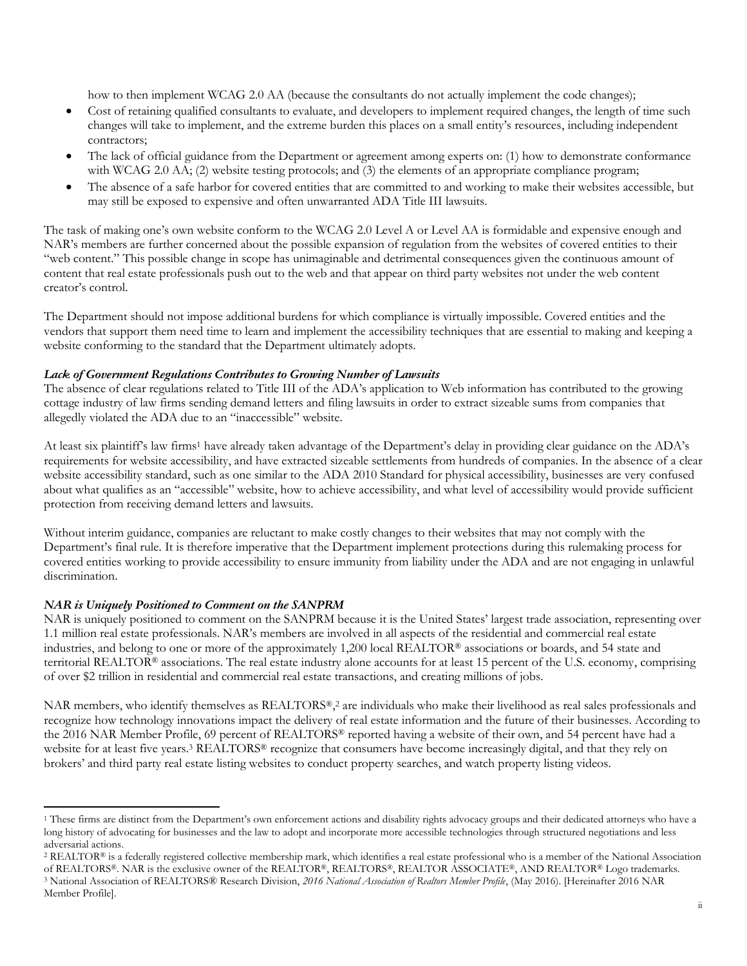how to then implement WCAG 2.0 AA (because the consultants do not actually implement the code changes);

- Cost of retaining qualified consultants to evaluate, and developers to implement required changes, the length of time such changes will take to implement, and the extreme burden this places on a small entity's resources, including independent contractors;
- The lack of official guidance from the Department or agreement among experts on: (1) how to demonstrate conformance with WCAG 2.0 AA; (2) website testing protocols; and (3) the elements of an appropriate compliance program;
- The absence of a safe harbor for covered entities that are committed to and working to make their websites accessible, but may still be exposed to expensive and often unwarranted ADA Title III lawsuits.

The task of making one's own website conform to the WCAG 2.0 Level A or Level AA is formidable and expensive enough and NAR's members are further concerned about the possible expansion of regulation from the websites of covered entities to their "web content." This possible change in scope has unimaginable and detrimental consequences given the continuous amount of content that real estate professionals push out to the web and that appear on third party websites not under the web content creator's control.

The Department should not impose additional burdens for which compliance is virtually impossible. Covered entities and the vendors that support them need time to learn and implement the accessibility techniques that are essential to making and keeping a website conforming to the standard that the Department ultimately adopts.

#### *Lack of Government Regulations Contributes to Growing Number of Lawsuits*

The absence of clear regulations related to Title III of the ADA's application to Web information has contributed to the growing cottage industry of law firms sending demand letters and filing lawsuits in order to extract sizeable sums from companies that allegedly violated the ADA due to an "inaccessible" website.

At least six plaintiff's law firms<sup>1</sup> have already taken advantage of the Department's delay in providing clear guidance on the ADA's requirements for website accessibility, and have extracted sizeable settlements from hundreds of companies. In the absence of a clear website accessibility standard, such as one similar to the ADA 2010 Standard for physical accessibility, businesses are very confused about what qualifies as an "accessible" website, how to achieve accessibility, and what level of accessibility would provide sufficient protection from receiving demand letters and lawsuits.

Without interim guidance, companies are reluctant to make costly changes to their websites that may not comply with the Department's final rule. It is therefore imperative that the Department implement protections during this rulemaking process for covered entities working to provide accessibility to ensure immunity from liability under the ADA and are not engaging in unlawful discrimination.

#### *NAR is Uniquely Positioned to Comment on the SANPRM*

 $\overline{a}$ 

NAR is uniquely positioned to comment on the SANPRM because it is the United States' largest trade association, representing over 1.1 million real estate professionals. NAR's members are involved in all aspects of the residential and commercial real estate industries, and belong to one or more of the approximately 1,200 local REALTOR® associations or boards, and 54 state and territorial REALTOR<sup>®</sup> associations. The real estate industry alone accounts for at least 15 percent of the U.S. economy, comprising of over \$2 trillion in residential and commercial real estate transactions, and creating millions of jobs.

NAR members, who identify themselves as REALTORS®,<sup>2</sup> are individuals who make their livelihood as real sales professionals and recognize how technology innovations impact the delivery of real estate information and the future of their businesses. According to the 2016 NAR Member Profile, 69 percent of REALTORS® reported having a website of their own, and 54 percent have had a website for at least five years.<sup>3</sup> REALTORS<sup>®</sup> recognize that consumers have become increasingly digital, and that they rely on brokers' and third party real estate listing websites to conduct property searches, and watch property listing videos.

<sup>&</sup>lt;sup>1</sup> These firms are distinct from the Department's own enforcement actions and disability rights advocacy groups and their dedicated attorneys who have a long history of advocating for businesses and the law to adopt and incorporate more accessible technologies through structured negotiations and less adversarial actions.

<sup>2</sup> REALTOR® is a federally registered collective membership mark, which identifies a real estate professional who is a member of the National Association of REALTORS®. NAR is the exclusive owner of the REALTOR®, REALTORS®, REALTOR ASSOCIATE®, AND REALTOR® Logo trademarks. <sup>3</sup> National Association of REALTORS® Research Division, *2016 National Association of Realtors Member Profile*, (May 2016). [Hereinafter 2016 NAR Member Profile].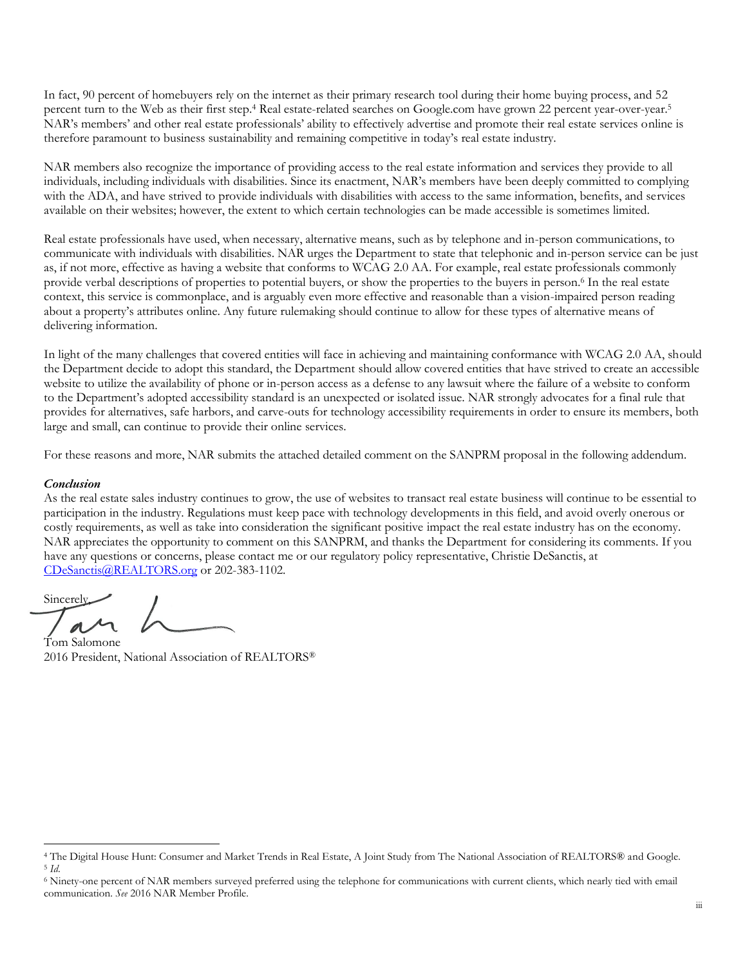In fact, 90 percent of homebuyers rely on the internet as their primary research tool during their home buying process, and 52 percent turn to the Web as their first step.<sup>4</sup> Real estate-related searches on Google.com have grown 22 percent year-over-year.<sup>5</sup> NAR's members' and other real estate professionals' ability to effectively advertise and promote their real estate services online is therefore paramount to business sustainability and remaining competitive in today's real estate industry.

NAR members also recognize the importance of providing access to the real estate information and services they provide to all individuals, including individuals with disabilities. Since its enactment, NAR's members have been deeply committed to complying with the ADA, and have strived to provide individuals with disabilities with access to the same information, benefits, and services available on their websites; however, the extent to which certain technologies can be made accessible is sometimes limited.

Real estate professionals have used, when necessary, alternative means, such as by telephone and in-person communications, to communicate with individuals with disabilities. NAR urges the Department to state that telephonic and in-person service can be just as, if not more, effective as having a website that conforms to WCAG 2.0 AA. For example, real estate professionals commonly provide verbal descriptions of properties to potential buyers, or show the properties to the buyers in person.<sup>6</sup> In the real estate context, this service is commonplace, and is arguably even more effective and reasonable than a vision-impaired person reading about a property's attributes online. Any future rulemaking should continue to allow for these types of alternative means of delivering information.

In light of the many challenges that covered entities will face in achieving and maintaining conformance with WCAG 2.0 AA, should the Department decide to adopt this standard, the Department should allow covered entities that have strived to create an accessible website to utilize the availability of phone or in-person access as a defense to any lawsuit where the failure of a website to conform to the Department's adopted accessibility standard is an unexpected or isolated issue. NAR strongly advocates for a final rule that provides for alternatives, safe harbors, and carve-outs for technology accessibility requirements in order to ensure its members, both large and small, can continue to provide their online services.

For these reasons and more, NAR submits the attached detailed comment on the SANPRM proposal in the following addendum.

#### *Conclusion*

l

As the real estate sales industry continues to grow, the use of websites to transact real estate business will continue to be essential to participation in the industry. Regulations must keep pace with technology developments in this field, and avoid overly onerous or costly requirements, as well as take into consideration the significant positive impact the real estate industry has on the economy. NAR appreciates the opportunity to comment on this SANPRM, and thanks the Department for considering its comments. If you have any questions or concerns, please contact me or our regulatory policy representative, Christie DeSanctis, at [CDeSanctis@REALTORS.org](mailto:CDeSanctis@REALTORS.org) or 202-383-1102.

Sincerely,

Tom Salomone 2016 President, National Association of REALTORS®

<sup>4</sup> The Digital House Hunt: Consumer and Market Trends in Real Estate, A Joint Study from The National Association of REALTORS® and Google. <sup>5</sup> *Id*.

<sup>6</sup> Ninety-one percent of NAR members surveyed preferred using the telephone for communications with current clients, which nearly tied with email communication. *See* 2016 NAR Member Profile.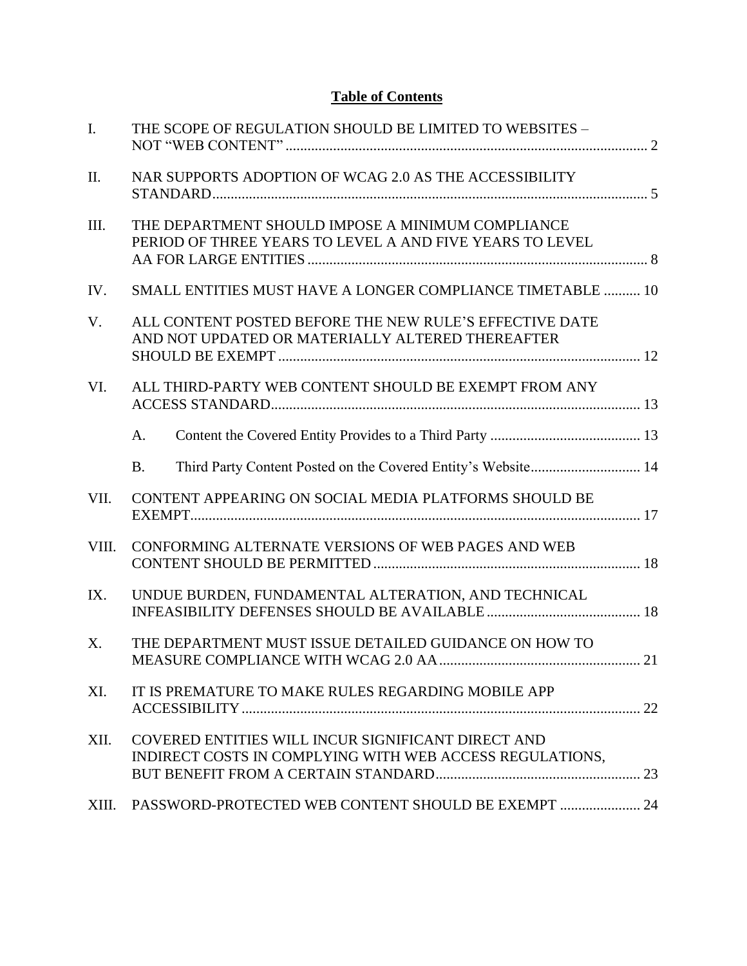# **Table of Contents**

| $\mathbf{I}$ . | THE SCOPE OF REGULATION SHOULD BE LIMITED TO WEBSITES -                                                        |  |
|----------------|----------------------------------------------------------------------------------------------------------------|--|
| II.            | NAR SUPPORTS ADOPTION OF WCAG 2.0 AS THE ACCESSIBILITY                                                         |  |
| III.           | THE DEPARTMENT SHOULD IMPOSE A MINIMUM COMPLIANCE<br>PERIOD OF THREE YEARS TO LEVEL A AND FIVE YEARS TO LEVEL  |  |
| IV.            | SMALL ENTITIES MUST HAVE A LONGER COMPLIANCE TIMETABLE  10                                                     |  |
| V.             | ALL CONTENT POSTED BEFORE THE NEW RULE'S EFFECTIVE DATE<br>AND NOT UPDATED OR MATERIALLY ALTERED THEREAFTER    |  |
| VI.            | ALL THIRD-PARTY WEB CONTENT SHOULD BE EXEMPT FROM ANY                                                          |  |
|                | A.                                                                                                             |  |
|                | Third Party Content Posted on the Covered Entity's Website 14<br><b>B.</b>                                     |  |
| VII.           | CONTENT APPEARING ON SOCIAL MEDIA PLATFORMS SHOULD BE                                                          |  |
| VIII.          | CONFORMING ALTERNATE VERSIONS OF WEB PAGES AND WEB                                                             |  |
| IX.            | UNDUE BURDEN, FUNDAMENTAL ALTERATION, AND TECHNICAL                                                            |  |
| $X_{\cdot}$    | THE DEPARTMENT MUST ISSUE DETAILED GUIDANCE ON HOW TO                                                          |  |
| XI.            | IT IS PREMATURE TO MAKE RULES REGARDING MOBILE APP                                                             |  |
| XII.           | COVERED ENTITIES WILL INCUR SIGNIFICANT DIRECT AND<br>INDIRECT COSTS IN COMPLYING WITH WEB ACCESS REGULATIONS, |  |
| XIII.          | PASSWORD-PROTECTED WEB CONTENT SHOULD BE EXEMPT  24                                                            |  |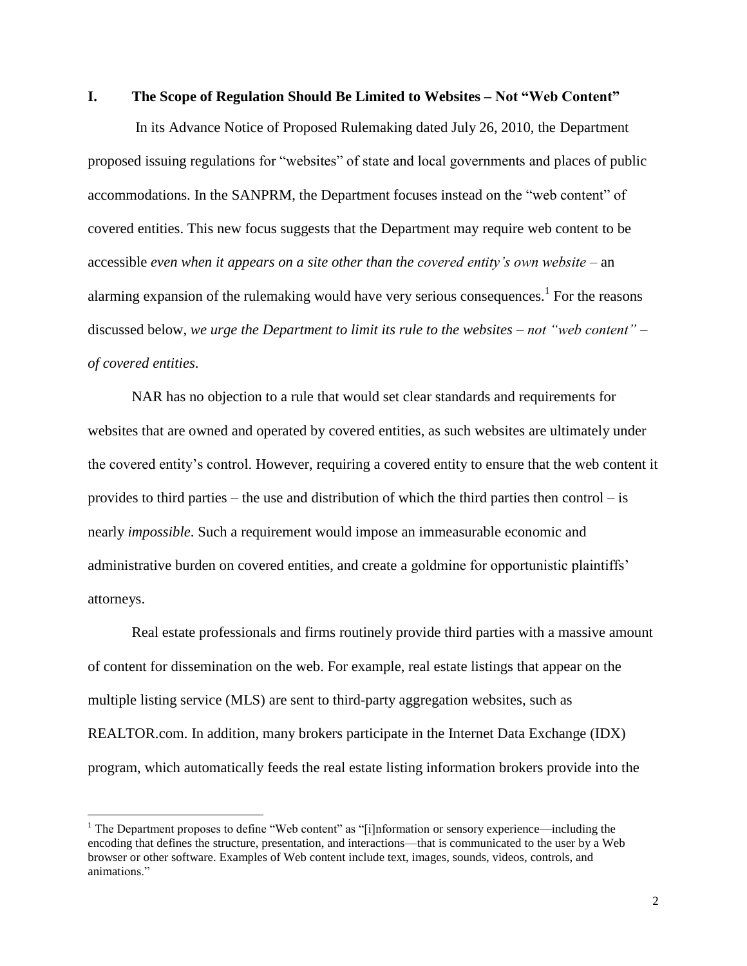#### <span id="page-6-0"></span>**I. The Scope of Regulation Should Be Limited to Websites – Not "Web Content"**

In its Advance Notice of Proposed Rulemaking dated July 26, 2010, the Department proposed issuing regulations for "websites" of state and local governments and places of public accommodations. In the SANPRM, the Department focuses instead on the "web content" of covered entities. This new focus suggests that the Department may require web content to be accessible *even when it appears on a site other than the covered entity's own website* – an alarming expansion of the rulemaking would have very serious consequences.<sup>1</sup> For the reasons discussed below, *we urge the Department to limit its rule to the websites – not "web content" – of covered entities*.

NAR has no objection to a rule that would set clear standards and requirements for websites that are owned and operated by covered entities, as such websites are ultimately under the covered entity's control. However, requiring a covered entity to ensure that the web content it provides to third parties – the use and distribution of which the third parties then control – is nearly *impossible*. Such a requirement would impose an immeasurable economic and administrative burden on covered entities, and create a goldmine for opportunistic plaintiffs' attorneys.

Real estate professionals and firms routinely provide third parties with a massive amount of content for dissemination on the web. For example, real estate listings that appear on the multiple listing service (MLS) are sent to third-party aggregation websites, such as REALTOR.com. In addition, many brokers participate in the Internet Data Exchange (IDX) program, which automatically feeds the real estate listing information brokers provide into the

 $\overline{a}$ 

<sup>&</sup>lt;sup>1</sup> The Department proposes to define "Web content" as "[i]nformation or sensory experience—including the encoding that defines the structure, presentation, and interactions—that is communicated to the user by a Web browser or other software. Examples of Web content include text, images, sounds, videos, controls, and animations."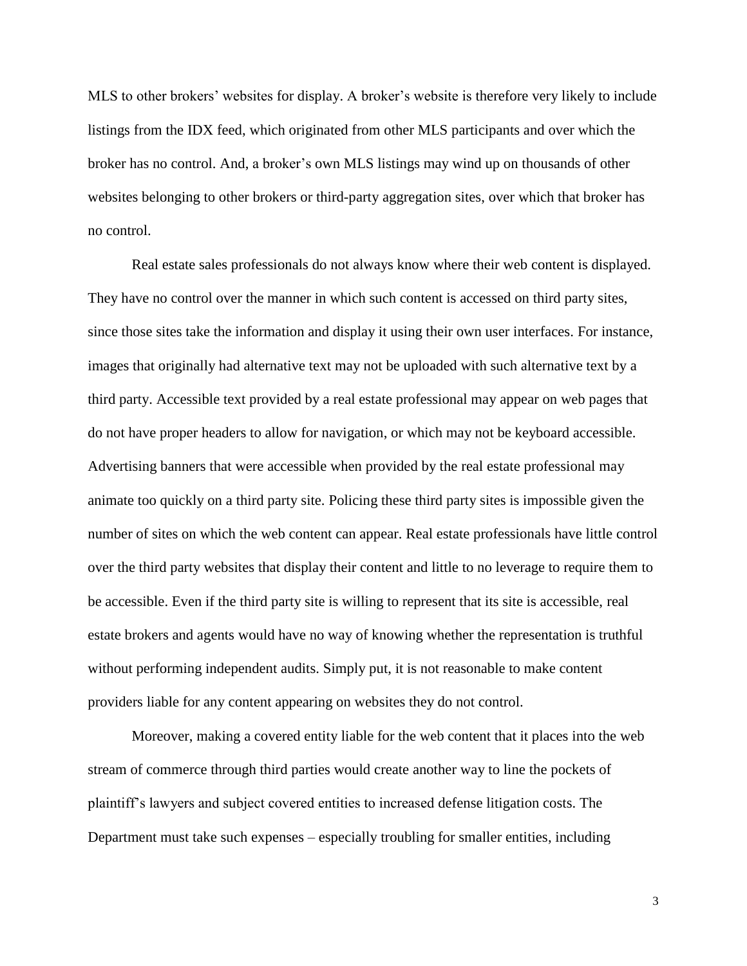MLS to other brokers' websites for display. A broker's website is therefore very likely to include listings from the IDX feed, which originated from other MLS participants and over which the broker has no control. And, a broker's own MLS listings may wind up on thousands of other websites belonging to other brokers or third-party aggregation sites, over which that broker has no control.

Real estate sales professionals do not always know where their web content is displayed. They have no control over the manner in which such content is accessed on third party sites, since those sites take the information and display it using their own user interfaces. For instance, images that originally had alternative text may not be uploaded with such alternative text by a third party. Accessible text provided by a real estate professional may appear on web pages that do not have proper headers to allow for navigation, or which may not be keyboard accessible. Advertising banners that were accessible when provided by the real estate professional may animate too quickly on a third party site. Policing these third party sites is impossible given the number of sites on which the web content can appear. Real estate professionals have little control over the third party websites that display their content and little to no leverage to require them to be accessible. Even if the third party site is willing to represent that its site is accessible, real estate brokers and agents would have no way of knowing whether the representation is truthful without performing independent audits. Simply put, it is not reasonable to make content providers liable for any content appearing on websites they do not control.

Moreover, making a covered entity liable for the web content that it places into the web stream of commerce through third parties would create another way to line the pockets of plaintiff's lawyers and subject covered entities to increased defense litigation costs. The Department must take such expenses – especially troubling for smaller entities, including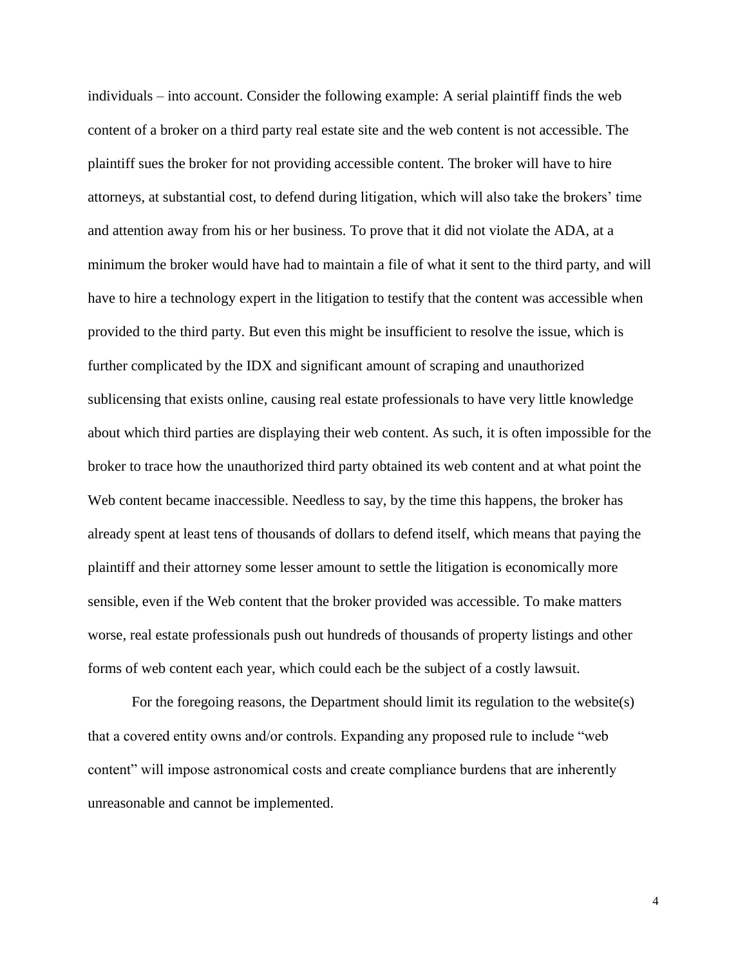individuals – into account. Consider the following example: A serial plaintiff finds the web content of a broker on a third party real estate site and the web content is not accessible. The plaintiff sues the broker for not providing accessible content. The broker will have to hire attorneys, at substantial cost, to defend during litigation, which will also take the brokers' time and attention away from his or her business. To prove that it did not violate the ADA, at a minimum the broker would have had to maintain a file of what it sent to the third party, and will have to hire a technology expert in the litigation to testify that the content was accessible when provided to the third party. But even this might be insufficient to resolve the issue, which is further complicated by the IDX and significant amount of scraping and unauthorized sublicensing that exists online, causing real estate professionals to have very little knowledge about which third parties are displaying their web content. As such, it is often impossible for the broker to trace how the unauthorized third party obtained its web content and at what point the Web content became inaccessible. Needless to say, by the time this happens, the broker has already spent at least tens of thousands of dollars to defend itself, which means that paying the plaintiff and their attorney some lesser amount to settle the litigation is economically more sensible, even if the Web content that the broker provided was accessible. To make matters worse, real estate professionals push out hundreds of thousands of property listings and other forms of web content each year, which could each be the subject of a costly lawsuit.

For the foregoing reasons, the Department should limit its regulation to the website(s) that a covered entity owns and/or controls. Expanding any proposed rule to include "web content" will impose astronomical costs and create compliance burdens that are inherently unreasonable and cannot be implemented.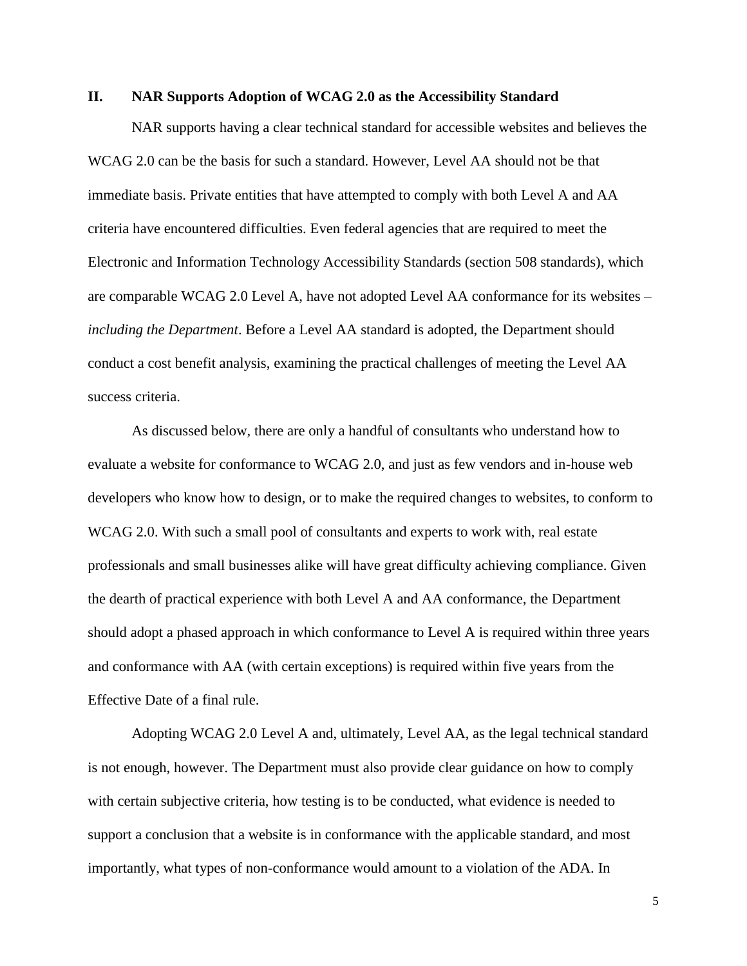### <span id="page-9-0"></span>**II. NAR Supports Adoption of WCAG 2.0 as the Accessibility Standard**

NAR supports having a clear technical standard for accessible websites and believes the WCAG 2.0 can be the basis for such a standard. However, Level AA should not be that immediate basis. Private entities that have attempted to comply with both Level A and AA criteria have encountered difficulties. Even federal agencies that are required to meet the Electronic and Information Technology Accessibility Standards (section 508 standards), which are comparable WCAG 2.0 Level A, have not adopted Level AA conformance for its websites – *including the Department*. Before a Level AA standard is adopted, the Department should conduct a cost benefit analysis, examining the practical challenges of meeting the Level AA success criteria.

As discussed below, there are only a handful of consultants who understand how to evaluate a website for conformance to WCAG 2.0, and just as few vendors and in-house web developers who know how to design, or to make the required changes to websites, to conform to WCAG 2.0. With such a small pool of consultants and experts to work with, real estate professionals and small businesses alike will have great difficulty achieving compliance. Given the dearth of practical experience with both Level A and AA conformance, the Department should adopt a phased approach in which conformance to Level A is required within three years and conformance with AA (with certain exceptions) is required within five years from the Effective Date of a final rule.

Adopting WCAG 2.0 Level A and, ultimately, Level AA, as the legal technical standard is not enough, however. The Department must also provide clear guidance on how to comply with certain subjective criteria, how testing is to be conducted, what evidence is needed to support a conclusion that a website is in conformance with the applicable standard, and most importantly, what types of non-conformance would amount to a violation of the ADA. In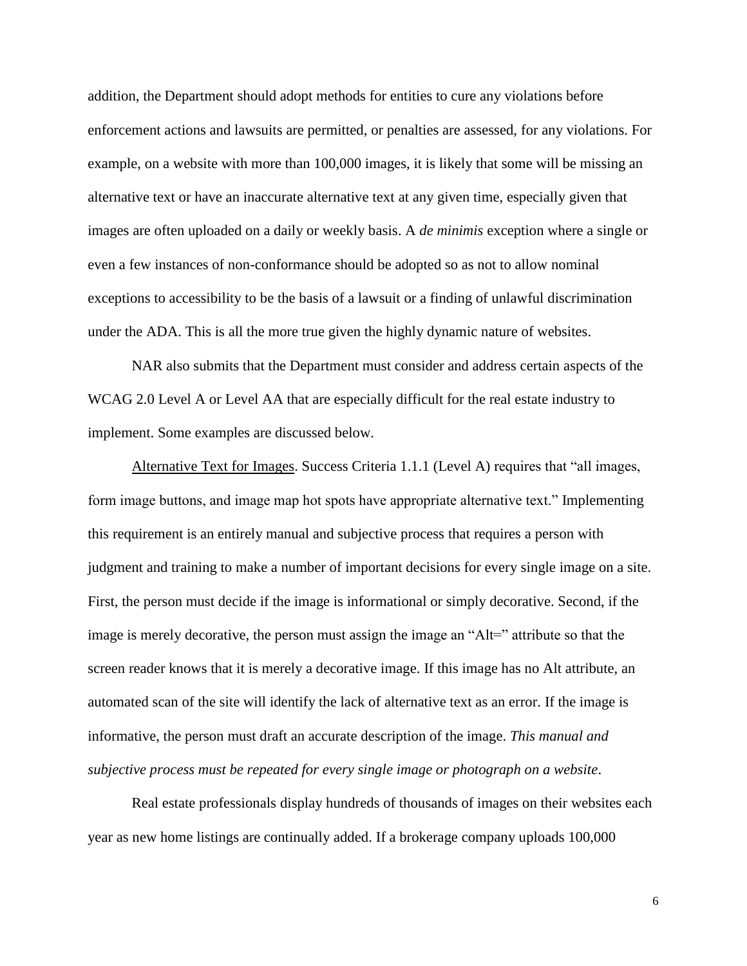addition, the Department should adopt methods for entities to cure any violations before enforcement actions and lawsuits are permitted, or penalties are assessed, for any violations. For example, on a website with more than 100,000 images, it is likely that some will be missing an alternative text or have an inaccurate alternative text at any given time, especially given that images are often uploaded on a daily or weekly basis. A *de minimis* exception where a single or even a few instances of non-conformance should be adopted so as not to allow nominal exceptions to accessibility to be the basis of a lawsuit or a finding of unlawful discrimination under the ADA. This is all the more true given the highly dynamic nature of websites.

NAR also submits that the Department must consider and address certain aspects of the WCAG 2.0 Level A or Level AA that are especially difficult for the real estate industry to implement. Some examples are discussed below.

Alternative Text for Images. Success Criteria 1.1.1 (Level A) requires that "all images, form image buttons, and image map hot spots have appropriate alternative text." Implementing this requirement is an entirely manual and subjective process that requires a person with judgment and training to make a number of important decisions for every single image on a site. First, the person must decide if the image is informational or simply decorative. Second, if the image is merely decorative, the person must assign the image an "Alt=" attribute so that the screen reader knows that it is merely a decorative image. If this image has no Alt attribute, an automated scan of the site will identify the lack of alternative text as an error. If the image is informative, the person must draft an accurate description of the image. *This manual and subjective process must be repeated for every single image or photograph on a website*.

Real estate professionals display hundreds of thousands of images on their websites each year as new home listings are continually added. If a brokerage company uploads 100,000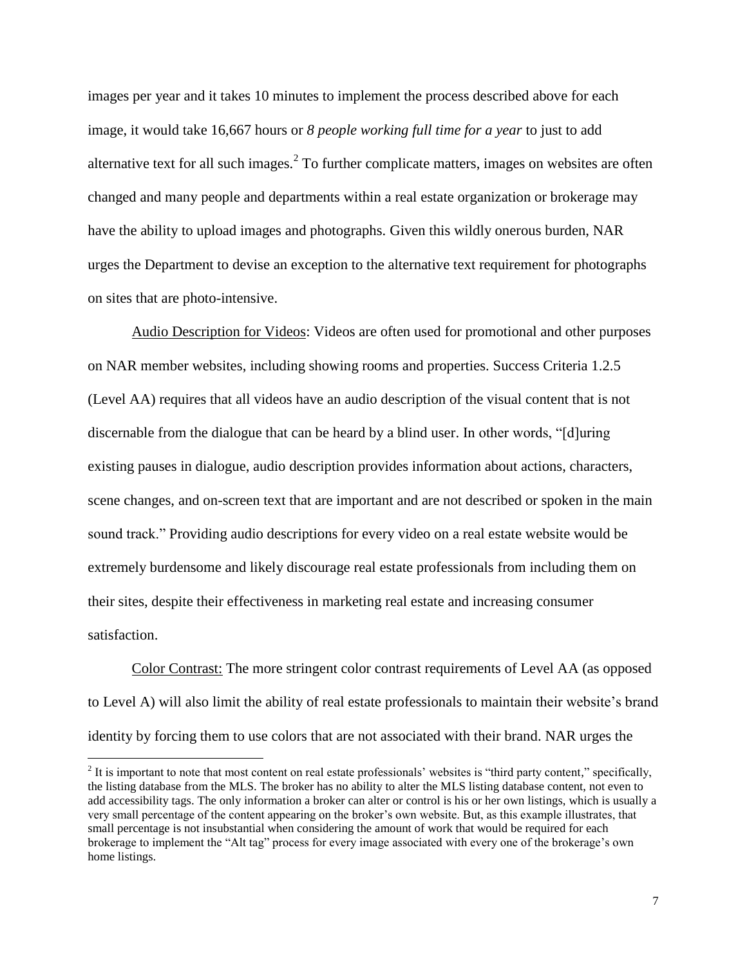images per year and it takes 10 minutes to implement the process described above for each image, it would take 16,667 hours or *8 people working full time for a year* to just to add alternative text for all such images. $2$  To further complicate matters, images on websites are often changed and many people and departments within a real estate organization or brokerage may have the ability to upload images and photographs. Given this wildly onerous burden, NAR urges the Department to devise an exception to the alternative text requirement for photographs on sites that are photo-intensive.

Audio Description for Videos: Videos are often used for promotional and other purposes on NAR member websites, including showing rooms and properties. Success Criteria 1.2.5 (Level AA) requires that all videos have [an](http://www.w3.org/TR/UNDERSTANDING-WCAG20/media-equiv-audio-desc-only.html) audio description of the visual content that is not discernable from the dialogue that can be heard by a blind user. In other words, "[d]uring existing pauses in dialogue, audio description provides information about actions, characters, scene changes, and on-screen text that are important and are not described or spoken in the main sound track." Providing audio descriptions for every video on a real estate website would be extremely burdensome and likely discourage real estate professionals from including them on their sites, despite their effectiveness in marketing real estate and increasing consumer satisfaction.

Color Contrast: The more stringent color contrast requirements of Level AA (as opposed to Level A) will also limit the ability of real estate professionals to maintain their website's brand identity by forcing them to use colors that are not associated with their brand. NAR urges the

 $\overline{a}$ 

 $2<sup>2</sup>$  It is important to note that most content on real estate professionals' websites is "third party content," specifically, the listing database from the MLS. The broker has no ability to alter the MLS listing database content, not even to add accessibility tags. The only information a broker can alter or control is his or her own listings, which is usually a very small percentage of the content appearing on the broker's own website. But, as this example illustrates, that small percentage is not insubstantial when considering the amount of work that would be required for each brokerage to implement the "Alt tag" process for every image associated with every one of the brokerage's own home listings.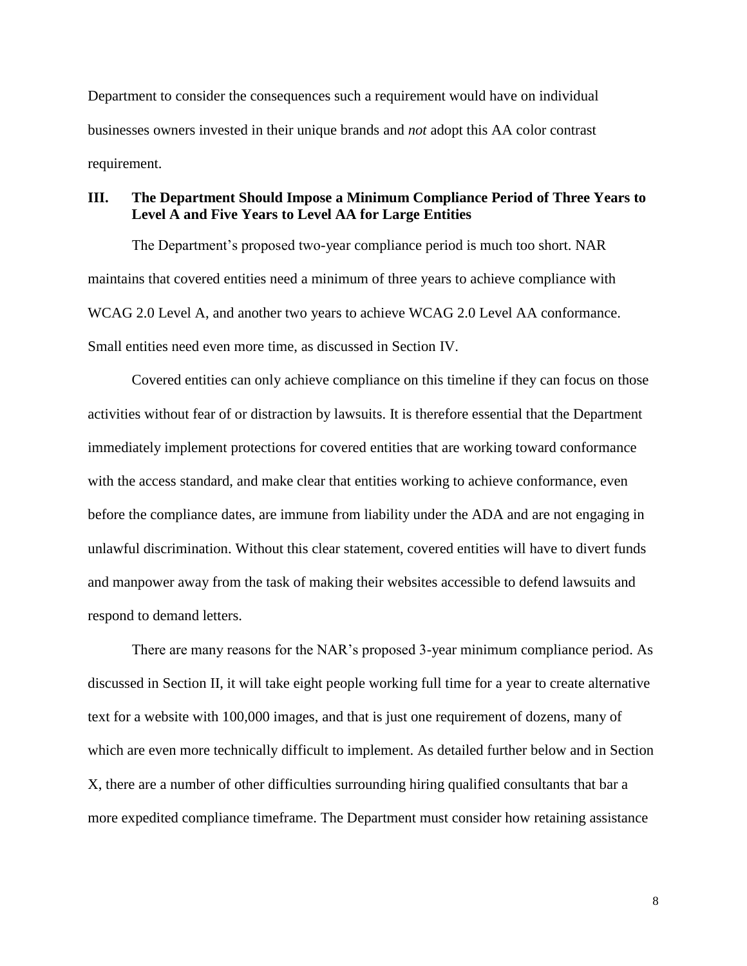Department to consider the consequences such a requirement would have on individual businesses owners invested in their unique brands and *not* adopt this AA color contrast requirement.

# <span id="page-12-0"></span>**III. The Department Should Impose a Minimum Compliance Period of Three Years to Level A and Five Years to Level AA for Large Entities**

The Department's proposed two-year compliance period is much too short. NAR maintains that covered entities need a minimum of three years to achieve compliance with WCAG 2.0 Level A, and another two years to achieve WCAG 2.0 Level AA conformance. Small entities need even more time, as discussed in Section IV.

Covered entities can only achieve compliance on this timeline if they can focus on those activities without fear of or distraction by lawsuits. It is therefore essential that the Department immediately implement protections for covered entities that are working toward conformance with the access standard, and make clear that entities working to achieve conformance, even before the compliance dates, are immune from liability under the ADA and are not engaging in unlawful discrimination. Without this clear statement, covered entities will have to divert funds and manpower away from the task of making their websites accessible to defend lawsuits and respond to demand letters.

There are many reasons for the NAR's proposed 3-year minimum compliance period. As discussed in Section II, it will take eight people working full time for a year to create alternative text for a website with 100,000 images, and that is just one requirement of dozens, many of which are even more technically difficult to implement. As detailed further below and in Section X, there are a number of other difficulties surrounding hiring qualified consultants that bar a more expedited compliance timeframe. The Department must consider how retaining assistance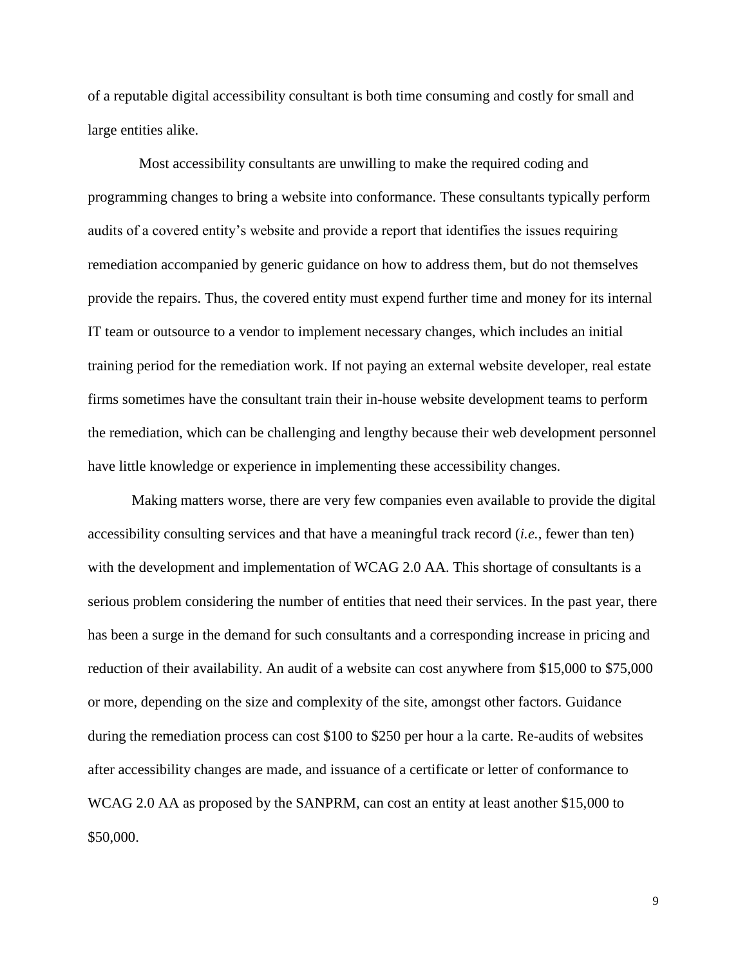of a reputable digital accessibility consultant is both time consuming and costly for small and large entities alike.

Most accessibility consultants are unwilling to make the required coding and programming changes to bring a website into conformance. These consultants typically perform audits of a covered entity's website and provide a report that identifies the issues requiring remediation accompanied by generic guidance on how to address them, but do not themselves provide the repairs. Thus, the covered entity must expend further time and money for its internal IT team or outsource to a vendor to implement necessary changes, which includes an initial training period for the remediation work. If not paying an external website developer, real estate firms sometimes have the consultant train their in-house website development teams to perform the remediation, which can be challenging and lengthy because their web development personnel have little knowledge or experience in implementing these accessibility changes.

Making matters worse, there are very few companies even available to provide the digital accessibility consulting services and that have a meaningful track record (*i.e.*, fewer than ten) with the development and implementation of WCAG 2.0 AA. This shortage of consultants is a serious problem considering the number of entities that need their services. In the past year, there has been a surge in the demand for such consultants and a corresponding increase in pricing and reduction of their availability. An audit of a website can cost anywhere from \$15,000 to \$75,000 or more, depending on the size and complexity of the site, amongst other factors. Guidance during the remediation process can cost \$100 to \$250 per hour a la carte. Re-audits of websites after accessibility changes are made, and issuance of a certificate or letter of conformance to WCAG 2.0 AA as proposed by the SANPRM, can cost an entity at least another \$15,000 to \$50,000.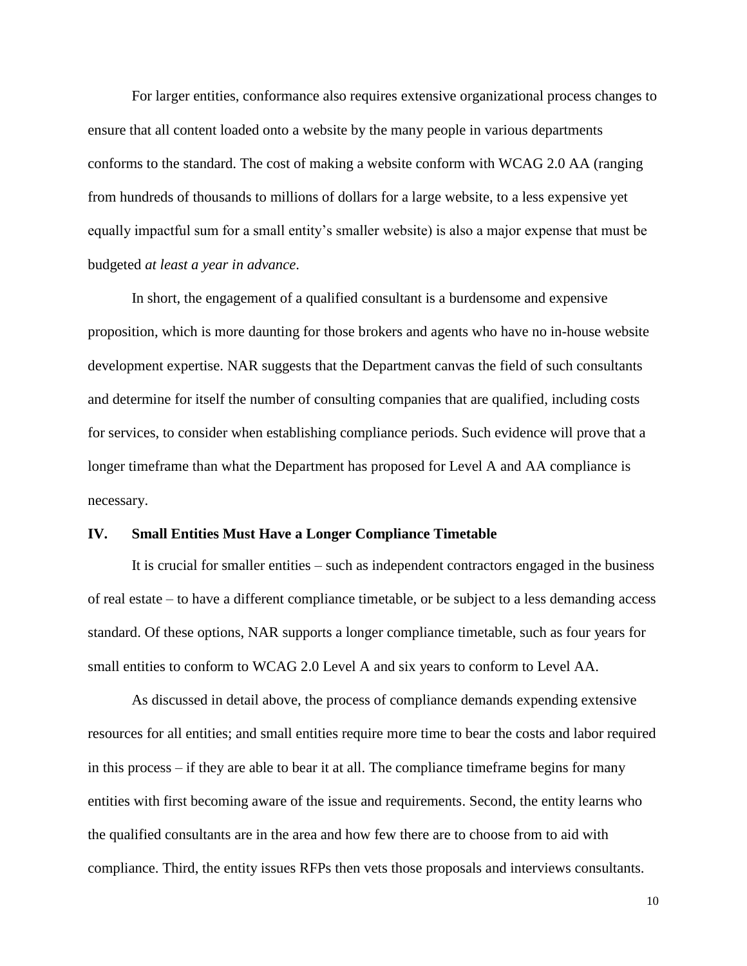For larger entities, conformance also requires extensive organizational process changes to ensure that all content loaded onto a website by the many people in various departments conforms to the standard. The cost of making a website conform with WCAG 2.0 AA (ranging from hundreds of thousands to millions of dollars for a large website, to a less expensive yet equally impactful sum for a small entity's smaller website) is also a major expense that must be budgeted *at least a year in advance*.

In short, the engagement of a qualified consultant is a burdensome and expensive proposition, which is more daunting for those brokers and agents who have no in-house website development expertise. NAR suggests that the Department canvas the field of such consultants and determine for itself the number of consulting companies that are qualified, including costs for services, to consider when establishing compliance periods. Such evidence will prove that a longer timeframe than what the Department has proposed for Level A and AA compliance is necessary.

#### <span id="page-14-0"></span>**IV. Small Entities Must Have a Longer Compliance Timetable**

It is crucial for smaller entities – such as independent contractors engaged in the business of real estate – to have a different compliance timetable, or be subject to a less demanding access standard. Of these options, NAR supports a longer compliance timetable, such as four years for small entities to conform to WCAG 2.0 Level A and six years to conform to Level AA.

As discussed in detail above, the process of compliance demands expending extensive resources for all entities; and small entities require more time to bear the costs and labor required in this process – if they are able to bear it at all. The compliance timeframe begins for many entities with first becoming aware of the issue and requirements. Second, the entity learns who the qualified consultants are in the area and how few there are to choose from to aid with compliance. Third, the entity issues RFPs then vets those proposals and interviews consultants.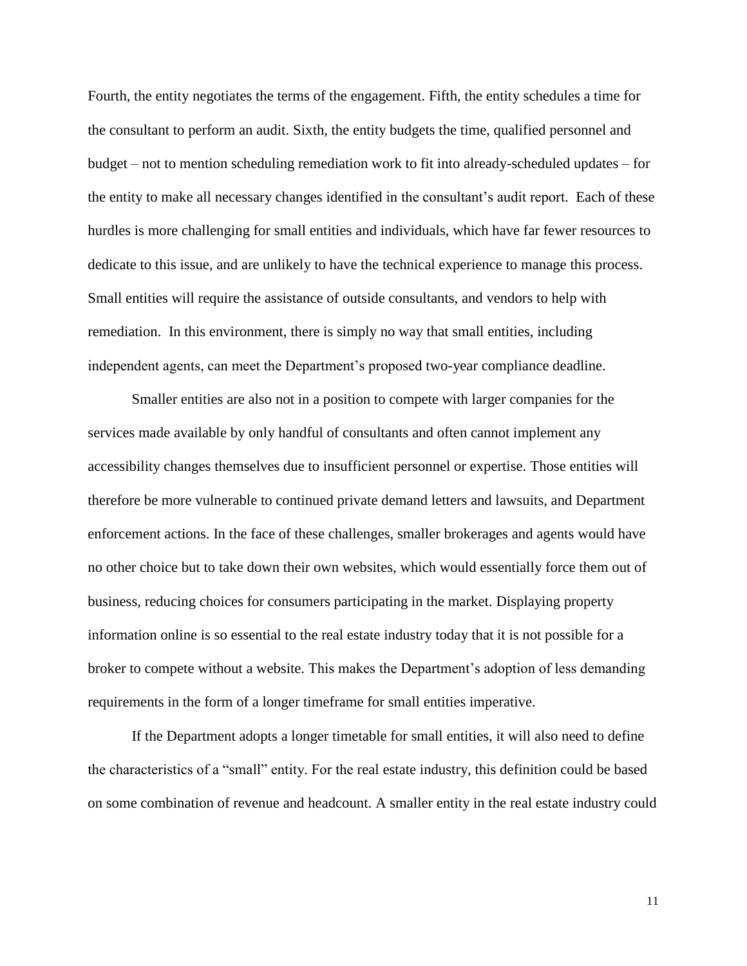Fourth, the entity negotiates the terms of the engagement. Fifth, the entity schedules a time for the consultant to perform an audit. Sixth, the entity budgets the time, qualified personnel and budget – not to mention scheduling remediation work to fit into already-scheduled updates – for the entity to make all necessary changes identified in the consultant's audit report. Each of these hurdles is more challenging for small entities and individuals, which have far fewer resources to dedicate to this issue, and are unlikely to have the technical experience to manage this process. Small entities will require the assistance of outside consultants, and vendors to help with remediation. In this environment, there is simply no way that small entities, including independent agents, can meet the Department's proposed two-year compliance deadline.

Smaller entities are also not in a position to compete with larger companies for the services made available by only handful of consultants and often cannot implement any accessibility changes themselves due to insufficient personnel or expertise. Those entities will therefore be more vulnerable to continued private demand letters and lawsuits, and Department enforcement actions. In the face of these challenges, smaller brokerages and agents would have no other choice but to take down their own websites, which would essentially force them out of business, reducing choices for consumers participating in the market. Displaying property information online is so essential to the real estate industry today that it is not possible for a broker to compete without a website. This makes the Department's adoption of less demanding requirements in the form of a longer timeframe for small entities imperative.

If the Department adopts a longer timetable for small entities, it will also need to define the characteristics of a "small" entity. For the real estate industry, this definition could be based on some combination of revenue and headcount. A smaller entity in the real estate industry could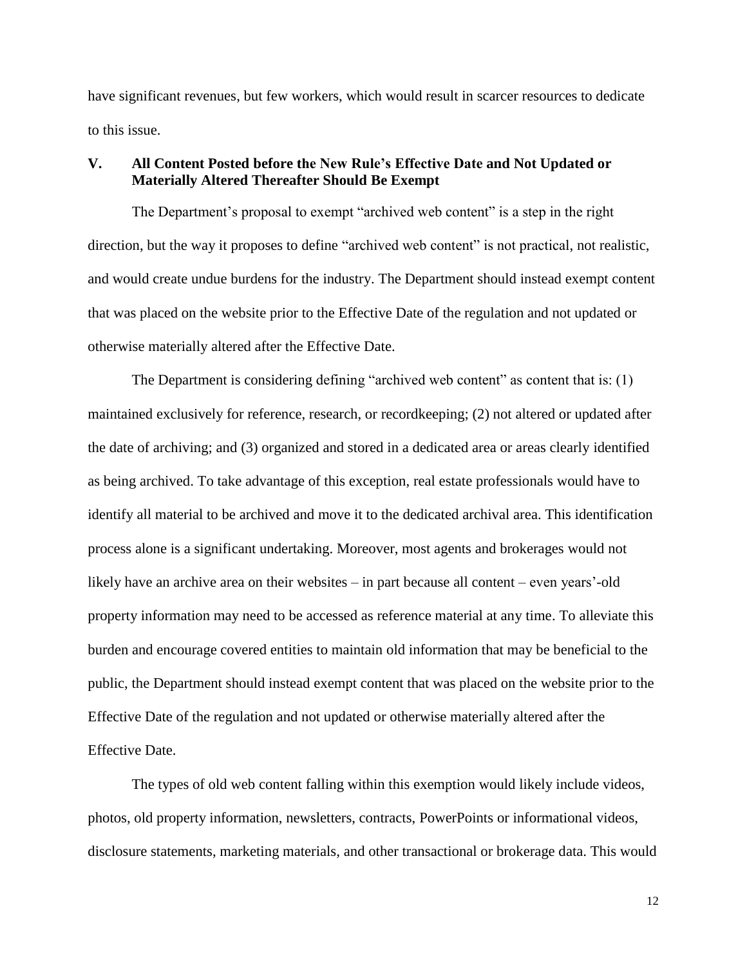have significant revenues, but few workers, which would result in scarcer resources to dedicate to this issue.

# <span id="page-16-0"></span>**V. All Content Posted before the New Rule's Effective Date and Not Updated or Materially Altered Thereafter Should Be Exempt**

The Department's proposal to exempt "archived web content" is a step in the right direction, but the way it proposes to define "archived web content" is not practical, not realistic, and would create undue burdens for the industry. The Department should instead exempt content that was placed on the website prior to the Effective Date of the regulation and not updated or otherwise materially altered after the Effective Date.

The Department is considering defining "archived web content" as content that is: (1) maintained exclusively for reference, research, or recordkeeping; (2) not altered or updated after the date of archiving; and (3) organized and stored in a dedicated area or areas clearly identified as being archived. To take advantage of this exception, real estate professionals would have to identify all material to be archived and move it to the dedicated archival area. This identification process alone is a significant undertaking. Moreover, most agents and brokerages would not likely have an archive area on their websites – in part because all content – even years'-old property information may need to be accessed as reference material at any time. To alleviate this burden and encourage covered entities to maintain old information that may be beneficial to the public, the Department should instead exempt content that was placed on the website prior to the Effective Date of the regulation and not updated or otherwise materially altered after the Effective Date.

The types of old web content falling within this exemption would likely include videos, photos, old property information, newsletters, contracts, PowerPoints or informational videos, disclosure statements, marketing materials, and other transactional or brokerage data. This would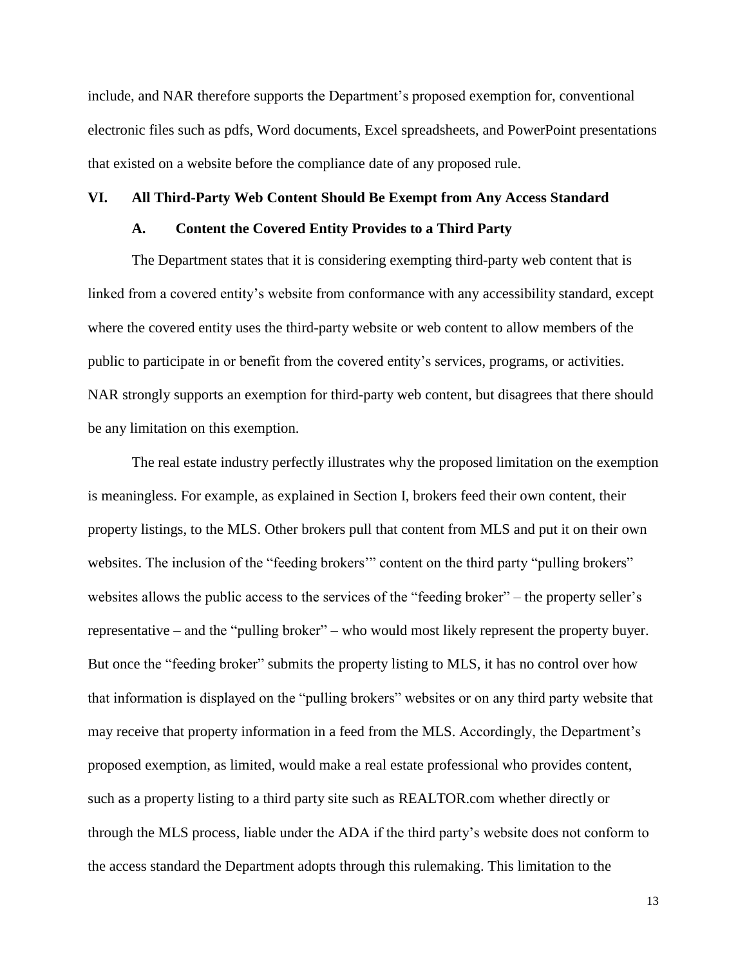include, and NAR therefore supports the Department's proposed exemption for, conventional electronic files such as pdfs, Word documents, Excel spreadsheets, and PowerPoint presentations that existed on a website before the compliance date of any proposed rule.

#### <span id="page-17-1"></span><span id="page-17-0"></span>**VI. All Third-Party Web Content Should Be Exempt from Any Access Standard**

#### **A. Content the Covered Entity Provides to a Third Party**

The Department states that it is considering exempting third-party web content that is linked from a covered entity's website from conformance with any accessibility standard, except where the covered entity uses the third-party website or web content to allow members of the public to participate in or benefit from the covered entity's services, programs, or activities. NAR strongly supports an exemption for third-party web content, but disagrees that there should be any limitation on this exemption.

The real estate industry perfectly illustrates why the proposed limitation on the exemption is meaningless. For example, as explained in Section I, brokers feed their own content, their property listings, to the MLS. Other brokers pull that content from MLS and put it on their own websites. The inclusion of the "feeding brokers" content on the third party "pulling brokers" websites allows the public access to the services of the "feeding broker" – the property seller's representative – and the "pulling broker" – who would most likely represent the property buyer. But once the "feeding broker" submits the property listing to MLS, it has no control over how that information is displayed on the "pulling brokers" websites or on any third party website that may receive that property information in a feed from the MLS. Accordingly, the Department's proposed exemption, as limited, would make a real estate professional who provides content, such as a property listing to a third party site such as REALTOR.com whether directly or through the MLS process, liable under the ADA if the third party's website does not conform to the access standard the Department adopts through this rulemaking. This limitation to the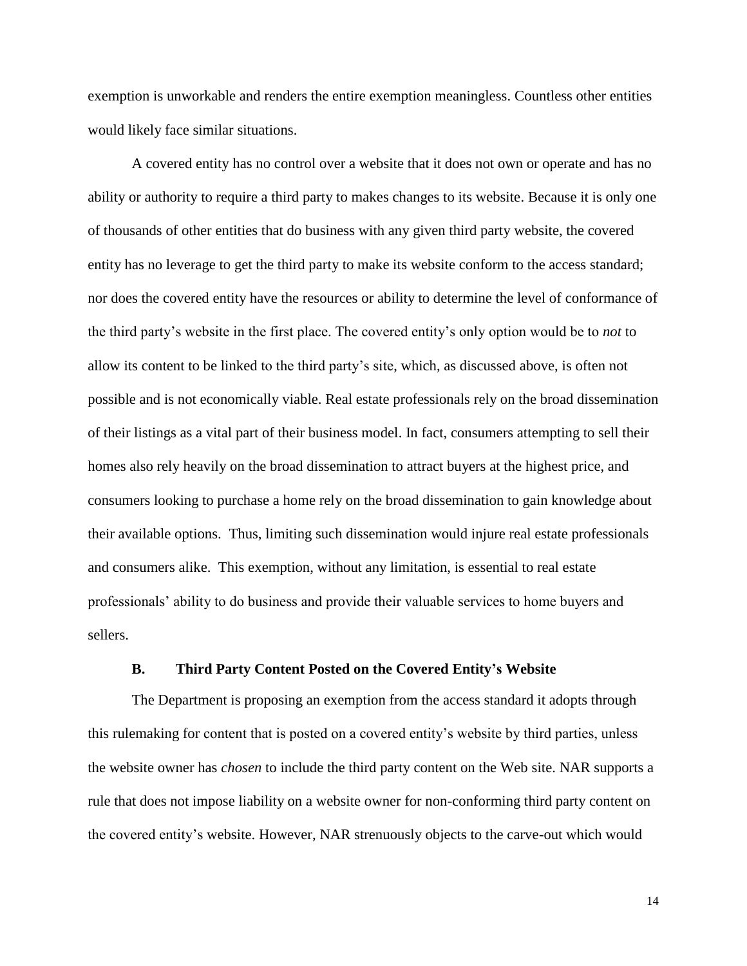exemption is unworkable and renders the entire exemption meaningless. Countless other entities would likely face similar situations.

A covered entity has no control over a website that it does not own or operate and has no ability or authority to require a third party to makes changes to its website. Because it is only one of thousands of other entities that do business with any given third party website, the covered entity has no leverage to get the third party to make its website conform to the access standard; nor does the covered entity have the resources or ability to determine the level of conformance of the third party's website in the first place. The covered entity's only option would be to *not* to allow its content to be linked to the third party's site, which, as discussed above, is often not possible and is not economically viable. Real estate professionals rely on the broad dissemination of their listings as a vital part of their business model. In fact, consumers attempting to sell their homes also rely heavily on the broad dissemination to attract buyers at the highest price, and consumers looking to purchase a home rely on the broad dissemination to gain knowledge about their available options. Thus, limiting such dissemination would injure real estate professionals and consumers alike. This exemption, without any limitation, is essential to real estate professionals' ability to do business and provide their valuable services to home buyers and sellers.

#### **B. Third Party Content Posted on the Covered Entity's Website**

<span id="page-18-0"></span>The Department is proposing an exemption from the access standard it adopts through this rulemaking for content that is posted on a covered entity's website by third parties, unless the website owner has *chosen* to include the third party content on the Web site. NAR supports a rule that does not impose liability on a website owner for non-conforming third party content on the covered entity's website. However, NAR strenuously objects to the carve-out which would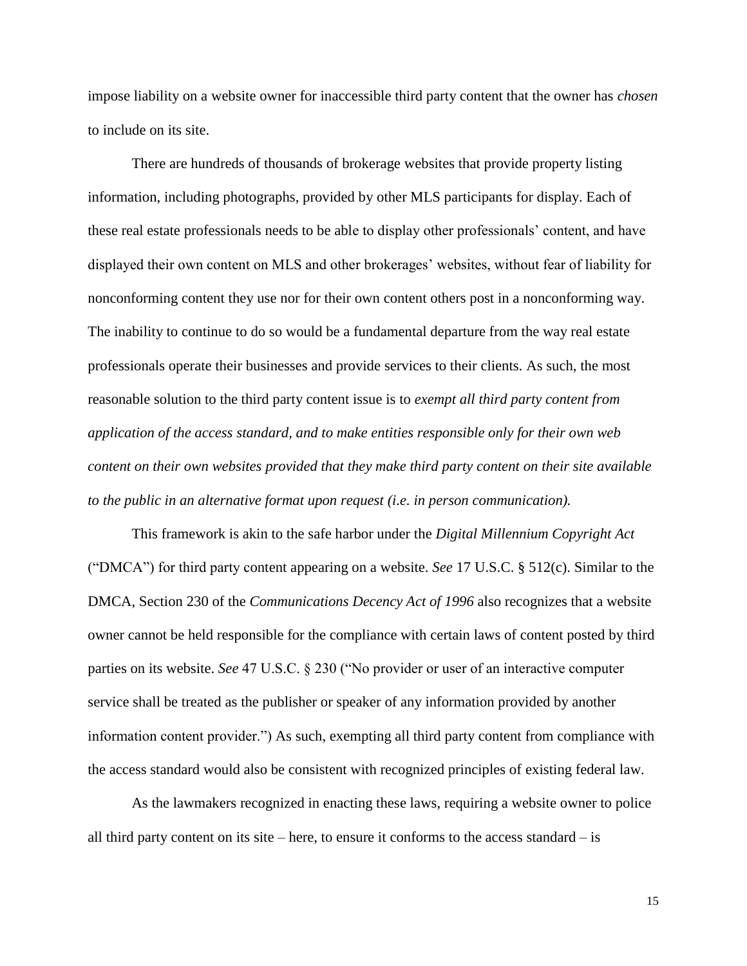impose liability on a website owner for inaccessible third party content that the owner has *chosen* to include on its site.

There are hundreds of thousands of brokerage websites that provide property listing information, including photographs, provided by other MLS participants for display. Each of these real estate professionals needs to be able to display other professionals' content, and have displayed their own content on MLS and other brokerages' websites, without fear of liability for nonconforming content they use nor for their own content others post in a nonconforming way. The inability to continue to do so would be a fundamental departure from the way real estate professionals operate their businesses and provide services to their clients. As such, the most reasonable solution to the third party content issue is to *exempt all third party content from application of the access standard, and to make entities responsible only for their own web content on their own websites provided that they make third party content on their site available to the public in an alternative format upon request (i.e. in person communication).*

This framework is akin to the safe harbor under the *Digital Millennium Copyright Act* ("DMCA") for third party content appearing on a website. *See* 17 U.S.C. § 512(c). Similar to the DMCA, Section 230 of the *Communications Decency Act of 1996* also recognizes that a website owner cannot be held responsible for the compliance with certain laws of content posted by third parties on its website. *See* 47 U.S.C. § 230 ("No provider or user of an interactive computer service shall be treated as the publisher or speaker of any information provided by another information content provider.") As such, exempting all third party content from compliance with the access standard would also be consistent with recognized principles of existing federal law.

As the lawmakers recognized in enacting these laws, requiring a website owner to police all third party content on its site – here, to ensure it conforms to the access standard – is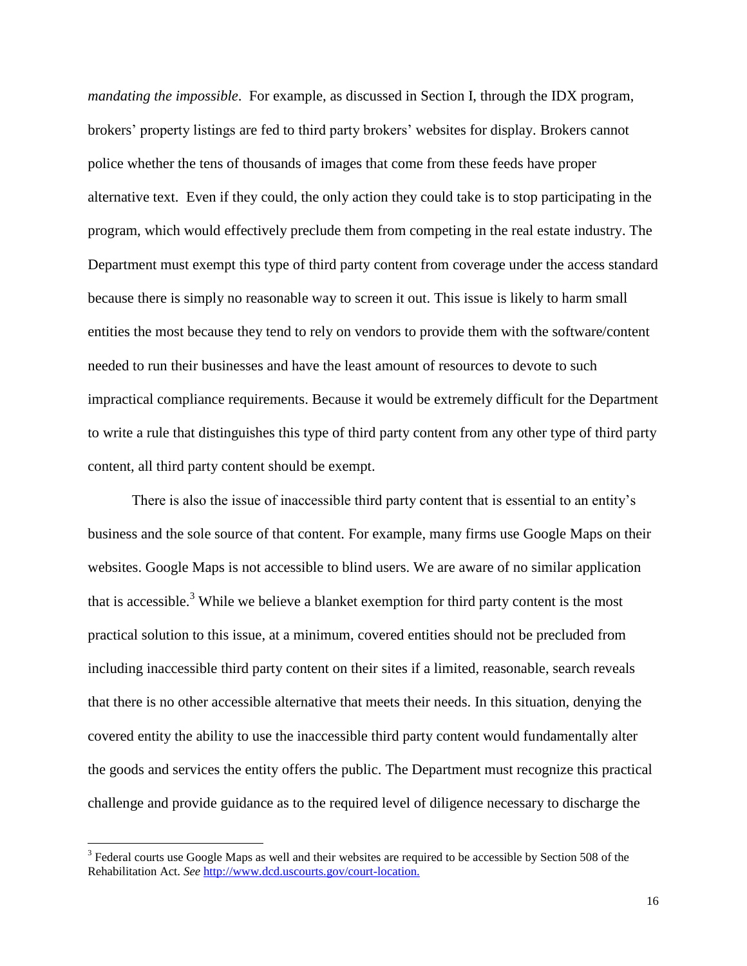*mandating the impossible*. For example, as discussed in Section I, through the IDX program, brokers' property listings are fed to third party brokers' websites for display. Brokers cannot police whether the tens of thousands of images that come from these feeds have proper alternative text. Even if they could, the only action they could take is to stop participating in the program, which would effectively preclude them from competing in the real estate industry. The Department must exempt this type of third party content from coverage under the access standard because there is simply no reasonable way to screen it out. This issue is likely to harm small entities the most because they tend to rely on vendors to provide them with the software/content needed to run their businesses and have the least amount of resources to devote to such impractical compliance requirements. Because it would be extremely difficult for the Department to write a rule that distinguishes this type of third party content from any other type of third party content, all third party content should be exempt.

There is also the issue of inaccessible third party content that is essential to an entity's business and the sole source of that content. For example, many firms use Google Maps on their websites. Google Maps is not accessible to blind users. We are aware of no similar application that is accessible.<sup>3</sup> While we believe a blanket exemption for third party content is the most practical solution to this issue, at a minimum, covered entities should not be precluded from including inaccessible third party content on their sites if a limited, reasonable, search reveals that there is no other accessible alternative that meets their needs. In this situation, denying the covered entity the ability to use the inaccessible third party content would fundamentally alter the goods and services the entity offers the public. The Department must recognize this practical challenge and provide guidance as to the required level of diligence necessary to discharge the

 $\overline{a}$ 

 $3$  Federal courts use Google Maps as well and their websites are required to be accessible by Section 508 of the Rehabilitation Act. *See* [http://www.dcd.uscourts.gov/court-location.](http://www.dcd.uscourts.gov/court-location)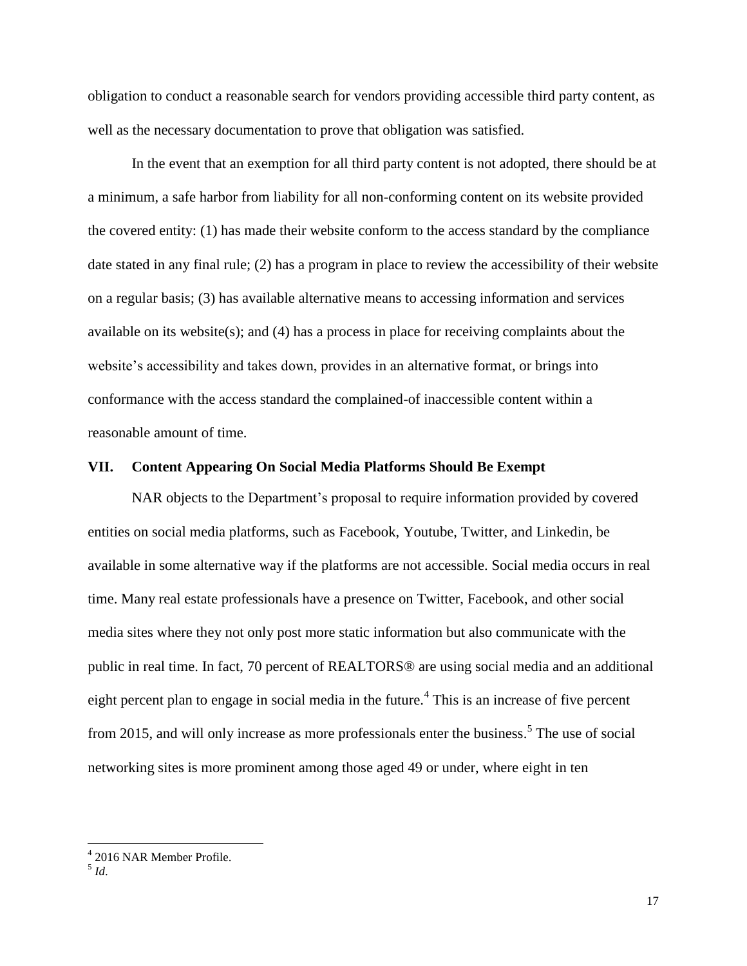obligation to conduct a reasonable search for vendors providing accessible third party content, as well as the necessary documentation to prove that obligation was satisfied.

In the event that an exemption for all third party content is not adopted, there should be at a minimum, a safe harbor from liability for all non-conforming content on its website provided the covered entity: (1) has made their website conform to the access standard by the compliance date stated in any final rule; (2) has a program in place to review the accessibility of their website on a regular basis; (3) has available alternative means to accessing information and services available on its website(s); and (4) has a process in place for receiving complaints about the website's accessibility and takes down, provides in an alternative format, or brings into conformance with the access standard the complained-of inaccessible content within a reasonable amount of time.

#### <span id="page-21-0"></span>**VII. Content Appearing On Social Media Platforms Should Be Exempt**

NAR objects to the Department's proposal to require information provided by covered entities on social media platforms, such as Facebook, Youtube, Twitter, and Linkedin, be available in some alternative way if the platforms are not accessible. Social media occurs in real time. Many real estate professionals have a presence on Twitter, Facebook, and other social media sites where they not only post more static information but also communicate with the public in real time. In fact, 70 percent of REALTORS® are using social media and an additional eight percent plan to engage in social media in the future.<sup>4</sup> This is an increase of five percent from 2015, and will only increase as more professionals enter the business.<sup>5</sup> The use of social networking sites is more prominent among those aged 49 or under, where eight in ten

5 *Id*.

 $\overline{a}$ 

<sup>4</sup> 2016 NAR Member Profile.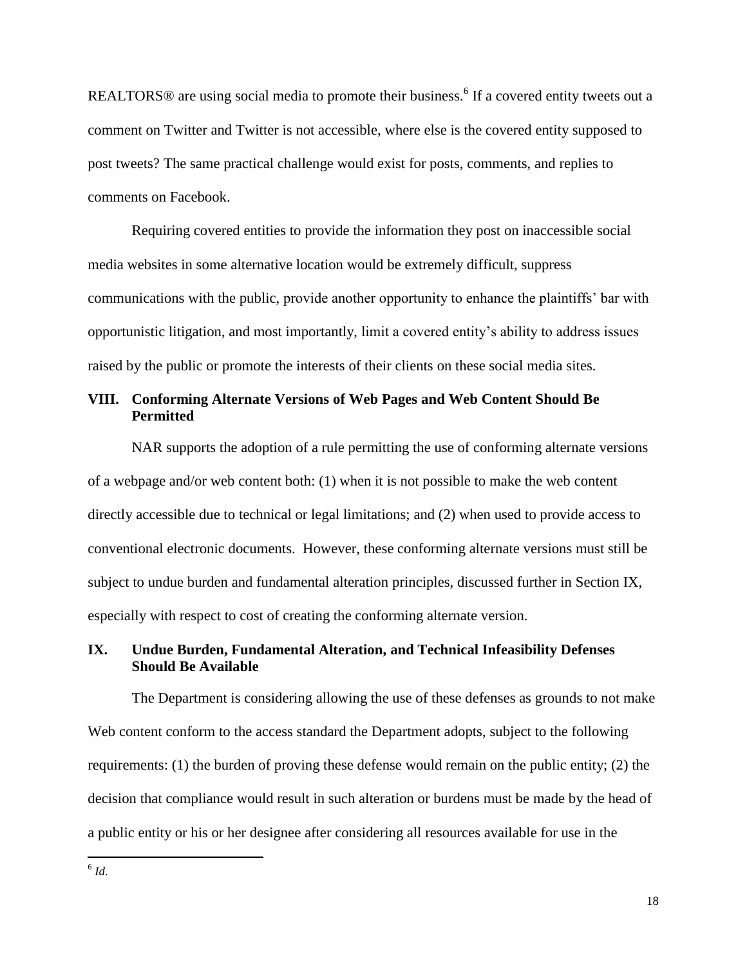REALTORS $\circledR$  are using social media to promote their business.<sup>6</sup> If a covered entity tweets out a comment on Twitter and Twitter is not accessible, where else is the covered entity supposed to post tweets? The same practical challenge would exist for posts, comments, and replies to comments on Facebook.

Requiring covered entities to provide the information they post on inaccessible social media websites in some alternative location would be extremely difficult, suppress communications with the public, provide another opportunity to enhance the plaintiffs' bar with opportunistic litigation, and most importantly, limit a covered entity's ability to address issues raised by the public or promote the interests of their clients on these social media sites.

# <span id="page-22-0"></span>**VIII. Conforming Alternate Versions of Web Pages and Web Content Should Be Permitted**

NAR supports the adoption of a rule permitting the use of conforming alternate versions of a webpage and/or web content both: (1) when it is not possible to make the web content directly accessible due to technical or legal limitations; and (2) when used to provide access to conventional electronic documents. However, these conforming alternate versions must still be subject to undue burden and fundamental alteration principles, discussed further in Section IX, especially with respect to cost of creating the conforming alternate version.

## <span id="page-22-1"></span>**IX. Undue Burden, Fundamental Alteration, and Technical Infeasibility Defenses Should Be Available**

The Department is considering allowing the use of these defenses as grounds to not make Web content conform to the access standard the Department adopts, subject to the following requirements: (1) the burden of proving these defense would remain on the public entity; (2) the decision that compliance would result in such alteration or burdens must be made by the head of a public entity or his or her designee after considering all resources available for use in the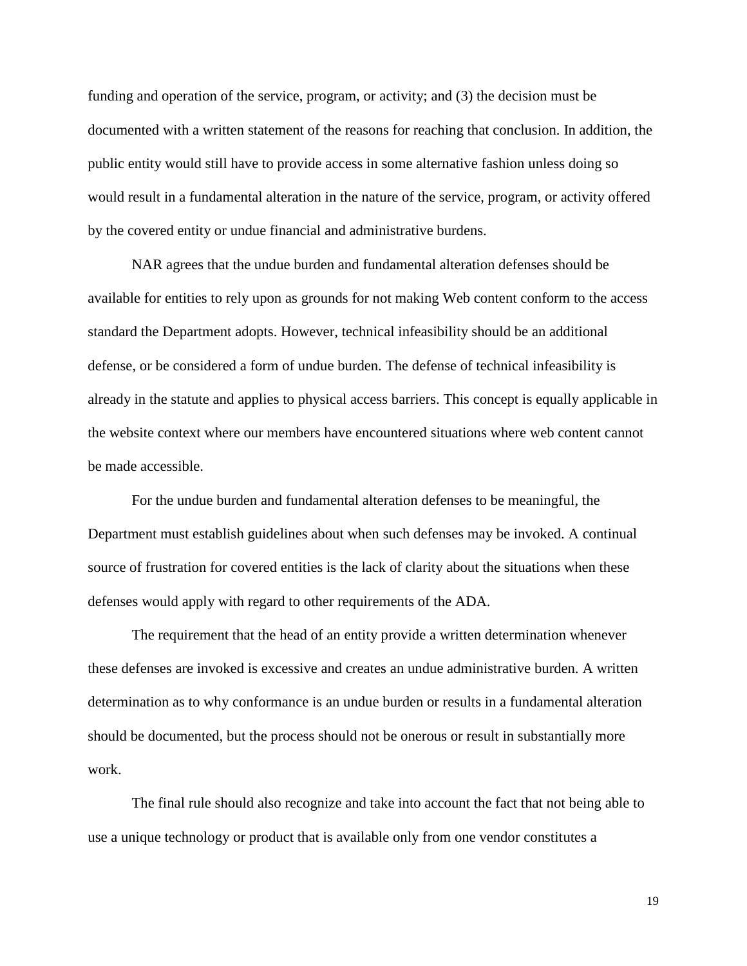funding and operation of the service, program, or activity; and (3) the decision must be documented with a written statement of the reasons for reaching that conclusion. In addition, the public entity would still have to provide access in some alternative fashion unless doing so would result in a fundamental alteration in the nature of the service, program, or activity offered by the covered entity or undue financial and administrative burdens.

NAR agrees that the undue burden and fundamental alteration defenses should be available for entities to rely upon as grounds for not making Web content conform to the access standard the Department adopts. However, technical infeasibility should be an additional defense, or be considered a form of undue burden. The defense of technical infeasibility is already in the statute and applies to physical access barriers. This concept is equally applicable in the website context where our members have encountered situations where web content cannot be made accessible.

For the undue burden and fundamental alteration defenses to be meaningful, the Department must establish guidelines about when such defenses may be invoked. A continual source of frustration for covered entities is the lack of clarity about the situations when these defenses would apply with regard to other requirements of the ADA.

The requirement that the head of an entity provide a written determination whenever these defenses are invoked is excessive and creates an undue administrative burden. A written determination as to why conformance is an undue burden or results in a fundamental alteration should be documented, but the process should not be onerous or result in substantially more work.

The final rule should also recognize and take into account the fact that not being able to use a unique technology or product that is available only from one vendor constitutes a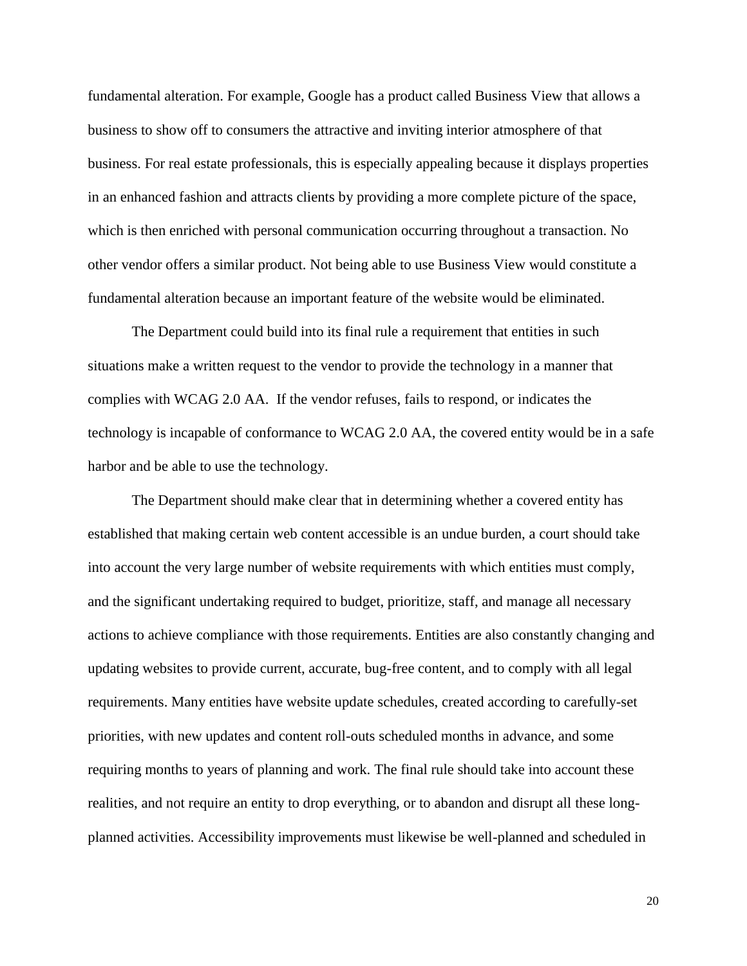fundamental alteration. For example, Google has a product called Business View that allows a business to show off to consumers the attractive and inviting interior atmosphere of that business. For real estate professionals, this is especially appealing because it displays properties in an enhanced fashion and attracts clients by providing a more complete picture of the space, which is then enriched with personal communication occurring throughout a transaction. No other vendor offers a similar product. Not being able to use Business View would constitute a fundamental alteration because an important feature of the website would be eliminated.

The Department could build into its final rule a requirement that entities in such situations make a written request to the vendor to provide the technology in a manner that complies with WCAG 2.0 AA. If the vendor refuses, fails to respond, or indicates the technology is incapable of conformance to WCAG 2.0 AA, the covered entity would be in a safe harbor and be able to use the technology.

The Department should make clear that in determining whether a covered entity has established that making certain web content accessible is an undue burden, a court should take into account the very large number of website requirements with which entities must comply, and the significant undertaking required to budget, prioritize, staff, and manage all necessary actions to achieve compliance with those requirements. Entities are also constantly changing and updating websites to provide current, accurate, bug-free content, and to comply with all legal requirements. Many entities have website update schedules, created according to carefully-set priorities, with new updates and content roll-outs scheduled months in advance, and some requiring months to years of planning and work. The final rule should take into account these realities, and not require an entity to drop everything, or to abandon and disrupt all these longplanned activities. Accessibility improvements must likewise be well-planned and scheduled in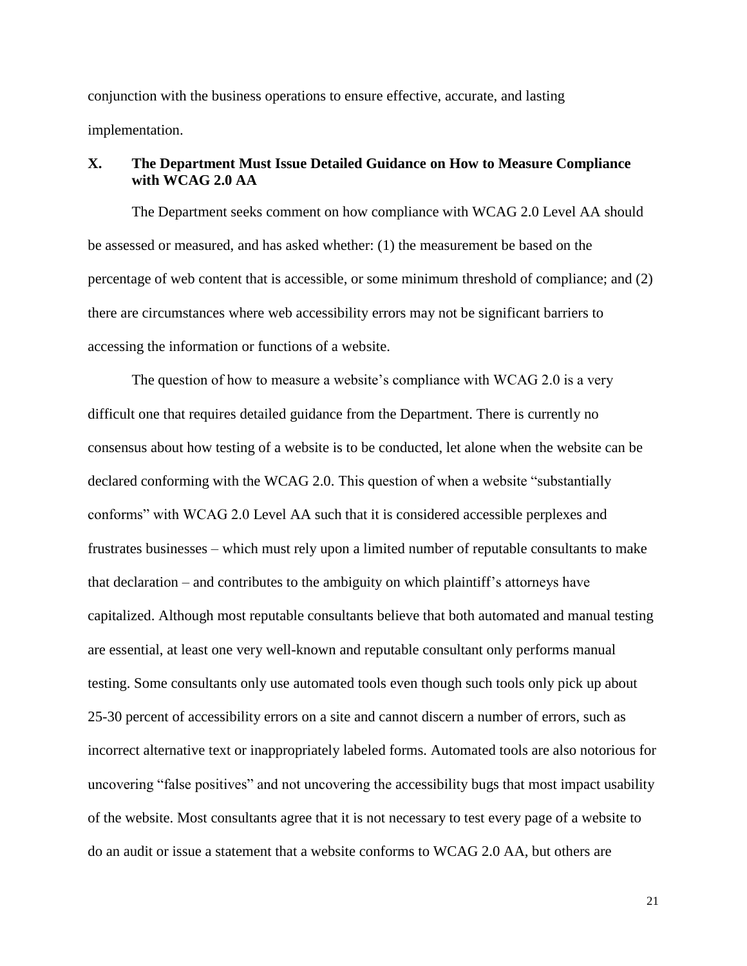conjunction with the business operations to ensure effective, accurate, and lasting implementation.

# <span id="page-25-0"></span>**X. The Department Must Issue Detailed Guidance on How to Measure Compliance with WCAG 2.0 AA**

The Department seeks comment on how compliance with WCAG 2.0 Level AA should be assessed or measured, and has asked whether: (1) the measurement be based on the percentage of web content that is accessible, or some minimum threshold of compliance; and (2) there are circumstances where web accessibility errors may not be significant barriers to accessing the information or functions of a website.

The question of how to measure a website's compliance with WCAG 2.0 is a very difficult one that requires detailed guidance from the Department. There is currently no consensus about how testing of a website is to be conducted, let alone when the website can be declared conforming with the WCAG 2.0. This question of when a website "substantially conforms" with WCAG 2.0 Level AA such that it is considered accessible perplexes and frustrates businesses – which must rely upon a limited number of reputable consultants to make that declaration – and contributes to the ambiguity on which plaintiff's attorneys have capitalized. Although most reputable consultants believe that both automated and manual testing are essential, at least one very well-known and reputable consultant only performs manual testing. Some consultants only use automated tools even though such tools only pick up about 25-30 percent of accessibility errors on a site and cannot discern a number of errors, such as incorrect alternative text or inappropriately labeled forms. Automated tools are also notorious for uncovering "false positives" and not uncovering the accessibility bugs that most impact usability of the website. Most consultants agree that it is not necessary to test every page of a website to do an audit or issue a statement that a website conforms to WCAG 2.0 AA, but others are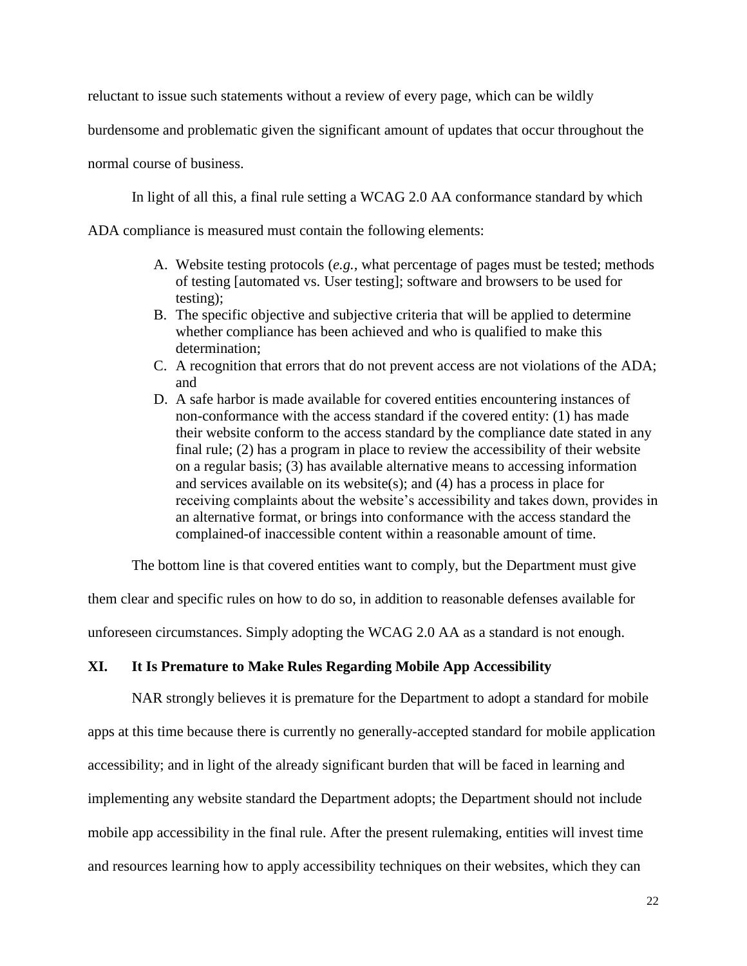reluctant to issue such statements without a review of every page, which can be wildly

burdensome and problematic given the significant amount of updates that occur throughout the

normal course of business.

In light of all this, a final rule setting a WCAG 2.0 AA conformance standard by which

ADA compliance is measured must contain the following elements:

- A. Website testing protocols (*e.g.,* what percentage of pages must be tested; methods of testing [automated vs. User testing]; software and browsers to be used for testing);
- B. The specific objective and subjective criteria that will be applied to determine whether compliance has been achieved and who is qualified to make this determination;
- C. A recognition that errors that do not prevent access are not violations of the ADA; and
- D. A safe harbor is made available for covered entities encountering instances of non-conformance with the access standard if the covered entity: (1) has made their website conform to the access standard by the compliance date stated in any final rule; (2) has a program in place to review the accessibility of their website on a regular basis; (3) has available alternative means to accessing information and services available on its website(s); and  $(4)$  has a process in place for receiving complaints about the website's accessibility and takes down, provides in an alternative format, or brings into conformance with the access standard the complained-of inaccessible content within a reasonable amount of time.

The bottom line is that covered entities want to comply, but the Department must give

them clear and specific rules on how to do so, in addition to reasonable defenses available for

unforeseen circumstances. Simply adopting the WCAG 2.0 AA as a standard is not enough.

#### <span id="page-26-0"></span>**XI. It Is Premature to Make Rules Regarding Mobile App Accessibility**

NAR strongly believes it is premature for the Department to adopt a standard for mobile apps at this time because there is currently no generally-accepted standard for mobile application accessibility; and in light of the already significant burden that will be faced in learning and implementing any website standard the Department adopts; the Department should not include mobile app accessibility in the final rule. After the present rulemaking, entities will invest time and resources learning how to apply accessibility techniques on their websites, which they can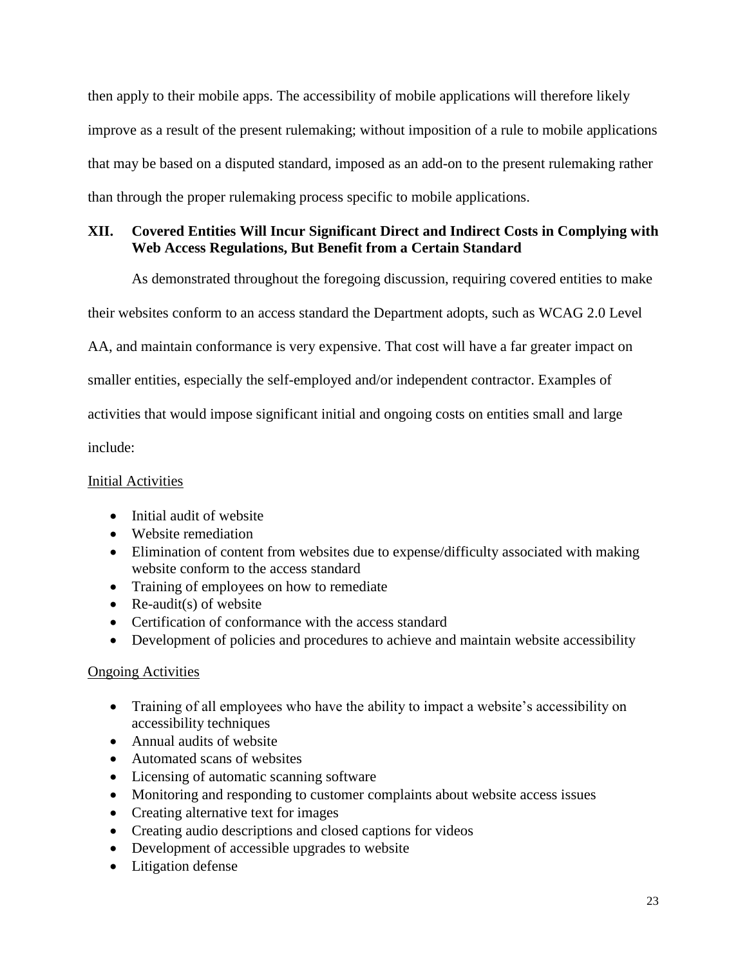then apply to their mobile apps. The accessibility of mobile applications will therefore likely improve as a result of the present rulemaking; without imposition of a rule to mobile applications that may be based on a disputed standard, imposed as an add-on to the present rulemaking rather than through the proper rulemaking process specific to mobile applications.

# <span id="page-27-0"></span>**XII. Covered Entities Will Incur Significant Direct and Indirect Costs in Complying with Web Access Regulations, But Benefit from a Certain Standard**

As demonstrated throughout the foregoing discussion, requiring covered entities to make

their websites conform to an access standard the Department adopts, such as WCAG 2.0 Level

AA, and maintain conformance is very expensive. That cost will have a far greater impact on

smaller entities, especially the self-employed and/or independent contractor. Examples of

activities that would impose significant initial and ongoing costs on entities small and large

include:

# Initial Activities

- Initial audit of website
- Website remediation
- Elimination of content from websites due to expense/difficulty associated with making website conform to the access standard
- Training of employees on how to remediate
- Re-audit(s) of website
- Certification of conformance with the access standard
- Development of policies and procedures to achieve and maintain website accessibility

# Ongoing Activities

- Training of all employees who have the ability to impact a website's accessibility on accessibility techniques
- Annual audits of website
- Automated scans of websites
- Licensing of automatic scanning software
- Monitoring and responding to customer complaints about website access issues
- Creating alternative text for images
- Creating audio descriptions and closed captions for videos
- Development of accessible upgrades to website
- Litigation defense